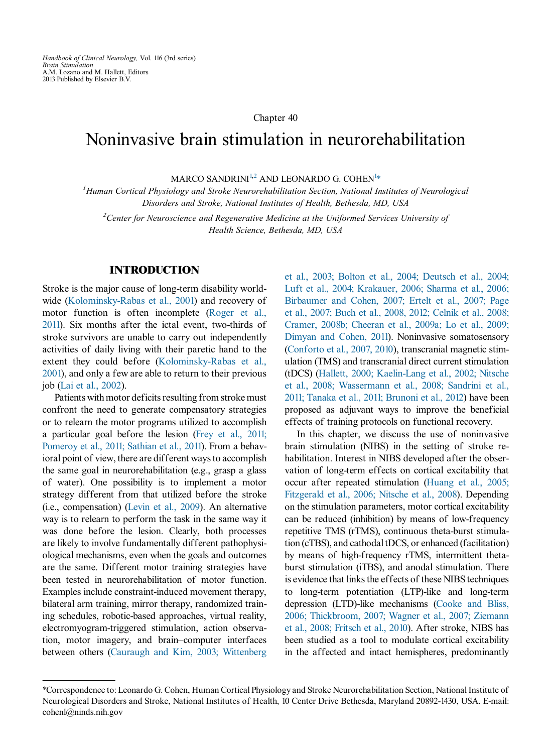Handbook of Clinical Neurology, Vol. 116 (3rd series) Brain Stimulation A.M. Lozano and M. Hallett, Editors 2013 Published by Elsevier B.V.

#### Chapter 40

# Noninvasive brain stimulation in neurorehabilitation

MARCO SANDRINI $^{1,2}$  AND LEONARDO G. COHEN $^{1,\ast}$ 

<sup>1</sup>Human Cortical Physiology and Stroke Neurorehabilitation Section, National Institutes of Neurological Disorders and Stroke, National Institutes of Health, Bethesda, MD, USA

 $2$ Center for Neuroscience and Regenerative Medicine at the Uniformed Services University of Health Science, Bethesda, MD, USA

### INTRODUCTION

Stroke is the major cause of long-term disability worldwide [\(Kolominsky-Rabas et al., 2001](#page-22-0)) and recovery of motor function is often incomplete [\(Roger et al.,](#page-24-0) [2011\)](#page-24-0). Six months after the ictal event, two-thirds of stroke survivors are unable to carry out independently activities of daily living with their paretic hand to the extent they could before [\(Kolominsky-Rabas et al.,](#page-22-0) [2001](#page-22-0)), and only a few are able to return to their previous job (Lai [et al., 2002](#page-23-0)).

Patients with motor deficits resulting from stroke must confront the need to generate compensatory strategies or to relearn the motor programs utilized to accomplish a particular goal before the lesion [\(Frey et al., 2011;](#page-21-0) [Pomeroy et al., 2011; Sathian et al., 2011](#page-21-0)). From a behavioral point of view, there are different ways to accomplish the same goal in neurorehabilitation (e.g., grasp a glass of water). One possibility is to implement a motor strategy different from that utilized before the stroke (i.e., compensation) [\(Levin et al., 2009\)](#page-23-0). An alternative way is to relearn to perform the task in the same way it was done before the lesion. Clearly, both processes are likely to involve fundamentally different pathophysiological mechanisms, even when the goals and outcomes are the same. Different motor training strategies have been tested in neurorehabilitation of motor function. Examples include constraint-induced movement therapy, bilateral arm training, mirror therapy, randomized training schedules, robotic-based approaches, virtual reality, electromyogram-triggered stimulation, action observation, motor imagery, and brain–computer interfaces between others [\(Cauraugh and Kim, 2003; Wittenberg](#page-20-0) et [al., 2003; Bolton et al., 2004; Deutsch et al., 2004;](#page-20-0) [Luft et al., 2004; Krakauer, 2006; Sharma et al., 2006;](#page-20-0) [Birbaumer and Cohen, 2007; Ertelt et al., 2007; Page](#page-20-0) [et al., 2007; Buch et al., 2008, 2012; Celnik et al., 2008;](#page-20-0) [Cramer, 2008b; Cheeran et al., 2009a; Lo et al., 2009;](#page-20-0) [Dimyan and Cohen, 2011\)](#page-20-0). Noninvasive somatosensory ([Conforto et al., 2007, 2010\)](#page-21-0), transcranial magnetic stimulation (TMS) and transcranial direct current stimulation (tDCS) [\(Hallett, 2000; Kaelin-Lang et al., 2002; Nitsche](#page-22-0) et [al., 2008; Wassermann et al., 2008; Sandrini et al.,](#page-22-0) [2011; Tanaka et al., 2011; Brunoni et al., 2012](#page-22-0)) have been proposed as adjuvant ways to improve the beneficial effects of training protocols on functional recovery.

In this chapter, we discuss the use of noninvasive brain stimulation (NIBS) in the setting of stroke rehabilitation. Interest in NIBS developed after the observation of long-term effects on cortical excitability that occur after repeated stimulation [\(Huang et al., 2005;](#page-22-0) [Fitzgerald et al., 2006; Nitsche et al., 2008\)](#page-22-0). Depending on the stimulation parameters, motor cortical excitability can be reduced (inhibition) by means of low-frequency repetitive TMS (rTMS), continuous theta-burst stimulation (cTBS), and cathodal tDCS, or enhanced (facilitation) by means of high-frequency rTMS, intermittent thetaburst stimulation (iTBS), and anodal stimulation. There is evidence that links the effects of these NIBS techniques to long-term potentiation (LTP)-like and long-term depression (LTD)-like mechanisms [\(Cooke and Bliss,](#page-21-0) [2006; Thickbroom, 2007; Wagner et al., 2007; Ziemann](#page-21-0) [et al., 2008; Fritsch et al., 2010\)](#page-21-0). After stroke, NIBS has been studied as a tool to modulate cortical excitability in the affected and intact hemispheres, predominantly

<sup>\*</sup>Correspondence to: Leonardo G. Cohen, Human Cortical Physiology and Stroke Neurorehabilitation Section, National Institute of Neurological Disorders and Stroke, National Institutes of Health, 10 Center Drive Bethesda, Maryland 20892-1430, USA. E-mail: cohenl@ninds.nih.gov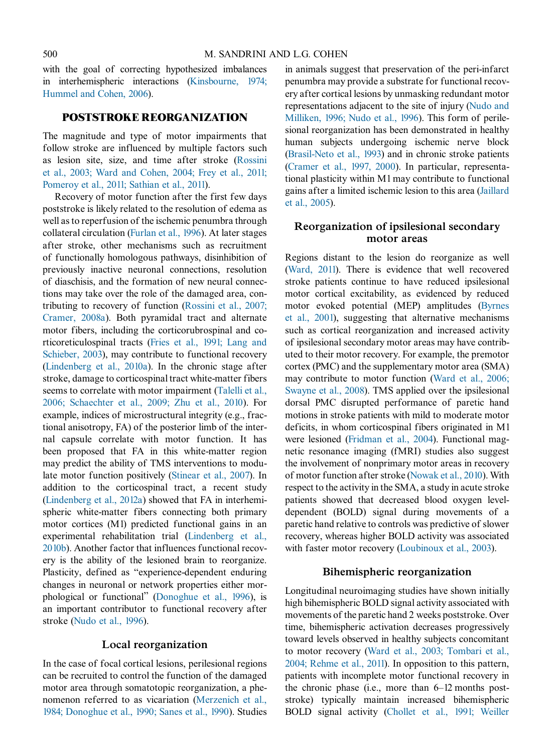with the goal of correcting hypothesized imbalances in interhemispheric interactions [\(Kinsbourne, 1974;](#page-22-0) [Hummel and Cohen, 2006\)](#page-22-0).

# POSTSTROKE REORGANIZATION

The magnitude and type of motor impairments that follow stroke are influenced by multiple factors such as lesion site, size, and time after stroke ([Rossini](#page-24-0) et al., [2003; Ward and Cohen, 2004; Frey et al., 2011;](#page-24-0) [Pomeroy et al., 2011; Sathian et al., 2011\)](#page-24-0).

Recovery of motor function after the first few days poststroke is likely related to the resolution of edema as well as to reperfusion of the ischemic penumbra through collateral circulation ([Furlan et al., 1996](#page-21-0)). At later stages after stroke, other mechanisms such as recruitment of functionally homologous pathways, disinhibition of previously inactive neuronal connections, resolution of diaschisis, and the formation of new neural connections may take over the role of the damaged area, contributing to recovery of function [\(Rossini et al., 2007;](#page-24-0) [Cramer,](#page-24-0) 2008a). Both pyramidal tract and alternate motor fibers, including the corticorubrospinal and corticoreticulospinal tracts [\(Fries et al., 1991; Lang and](#page-21-0) [Schieber,](#page-21-0) 2003), may contribute to functional recovery [\(Lindenberg et al., 2010a\)](#page-23-0). In the chronic stage after stroke, damage to corticospinal tract white-matter fibers seems to correlate with motor impairment [\(Talelli et al.,](#page-24-0) 2006; [Schaechter et al., 2009; Zhu et al., 2010\)](#page-24-0). For example, indices of microstructural integrity (e.g., fractional anisotropy, FA) of the posterior limb of the internal capsule correlate with motor function. It has been proposed that FA in this white-matter region may predict the ability of TMS interventions to modulate motor function positively [\(Stinear et al., 2007\)](#page-24-0). In addition to the corticospinal tract, a recent study [\(Lindenberg et al., 2012a\)](#page-23-0) showed that FA in interhemispheric white-matter fibers connecting both primary motor cortices (M1) predicted functional gains in an experimental rehabilitation trial [\(Lindenberg et al.,](#page-23-0) [2010b](#page-23-0)). Another factor that influences functional recovery is the ability of the lesioned brain to reorganize. Plasticity, defined as "experience-dependent enduring changes in neuronal or network properties either morphological or functional" ([Donoghue et al., 1996\)](#page-21-0), is an important contributor to functional recovery after stroke ([Nudo et al., 1996](#page-23-0)).

### Local reorganization

In the case of focal cortical lesions, perilesional regions can be recruited to control the function of the damaged motor area through somatotopic reorganization, a phenomenon referred to as vicariation ([Merzenich et al.,](#page-23-0) 1984; [Donoghue et al., 1990; Sanes et al., 1990\)](#page-23-0). Studies in animals suggest that preservation of the peri-infarct penumbra may provide a substrate for functional recovery after cortical lesions by unmasking redundant motor representations adjacent to the site of injury [\(Nudo and](#page-23-0) Milliken, 1996; [Nudo et al., 1996\)](#page-23-0). This form of perilesional reorganization has been demonstrated in healthy human subjects undergoing ischemic nerve block [\(Brasil-Neto et al., 1993\)](#page-20-0) and in chronic stroke patients [\(Cramer et al., 1997, 2000](#page-21-0)). In particular, representational plasticity within M1 may contribute to functional gains after a limited ischemic lesion to this area ([Jaillard](#page-22-0) et al., [2005](#page-22-0)).

# Reorganization of ipsilesional secondary motor areas

Regions distant to the lesion do reorganize as well [\(Ward, 2011\)](#page-25-0). There is evidence that well recovered stroke patients continue to have reduced ipsilesional motor cortical excitability, as evidenced by reduced motor evoked potential (MEP) amplitudes ([Byrnes](#page-20-0) et al., [2001\)](#page-20-0), suggesting that alternative mechanisms such as cortical reorganization and increased activity of ipsilesional secondary motor areas may have contributed to their motor recovery. For example, the premotor cortex (PMC) and the supplementary motor area (SMA) may contribute to motor function [\(Ward et al., 2006;](#page-25-0) Swayne et [al., 2008](#page-25-0)). TMS applied over the ipsilesional dorsal PMC disrupted performance of paretic hand motions in stroke patients with mild to moderate motor deficits, in whom corticospinal fibers originated in M1 were lesioned ([Fridman et al., 2004](#page-21-0)). Functional magnetic resonance imaging (fMRI) studies also suggest the involvement of nonprimary motor areas in recovery of motor function after stroke ([Nowak et al., 2010\)](#page-23-0). With respect to the activity in the SMA, a study in acute stroke patients showed that decreased blood oxygen leveldependent (BOLD) signal during movements of a paretic hand relative to controls was predictive of slower recovery, whereas higher BOLD activity was associated with faster motor recovery ([Loubinoux et al., 2003](#page-23-0)).

### Bihemispheric reorganization

Longitudinal neuroimaging studies have shown initially high bihemispheric BOLD signal activity associated with movements of the paretic hand 2 weeks poststroke. Over time, bihemispheric activation decreases progressively toward levels observed in healthy subjects concomitant to motor recovery ([Ward et al., 2003; Tombari et al.,](#page-25-0) 2004; Rehme [et al., 2011\)](#page-25-0). In opposition to this pattern, patients with incomplete motor functional recovery in the chronic phase (i.e., more than 6–12 months poststroke) typically maintain increased bihemispheric BOLD signal activity ([Chollet et al., 1991; Weiller](#page-20-0)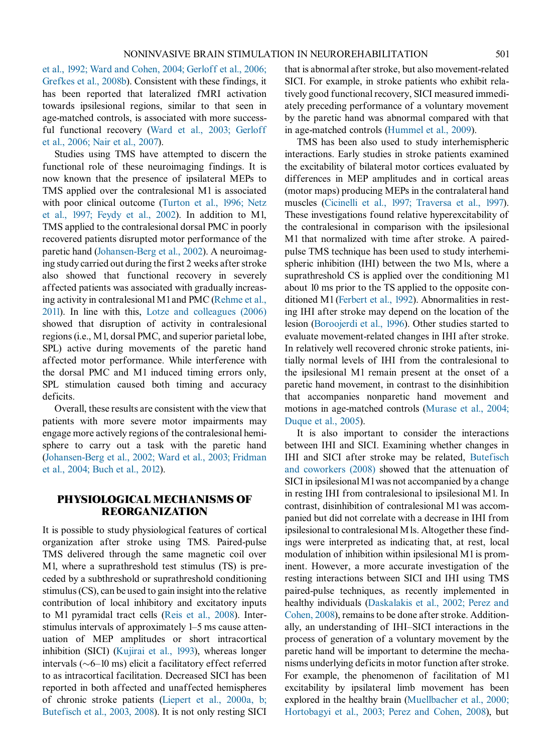[et al., 1992; Ward and Cohen, 2004; Gerloff et al., 2006;](#page-20-0) [Grefkes et al., 2008b\)](#page-20-0). Consistent with these findings, it has been reported that lateralized fMRI activation towards ipsilesional regions, similar to that seen in age-matched controls, is associated with more successful functional recovery [\(Ward et al., 2003; Gerloff](#page-25-0) et al., [2006; Nair et al., 2007\)](#page-25-0).

Studies using TMS have attempted to discern the functional role of these neuroimaging findings. It is now known that the presence of ipsilateral MEPs to TMS applied over the contralesional M1 is associated with poor clinical outcome ([Turton et al., 1996; Netz](#page-24-0) et al., [1997; Feydy et al., 2002](#page-24-0)). In addition to M1, TMS applied to the contralesional dorsal PMC in poorly recovered patients disrupted motor performance of the paretic hand ([Johansen-Berg et al., 2002\)](#page-22-0). A neuroimaging study carried out during the first 2 weeks after stroke also showed that functional recovery in severely affected patients was associated with gradually increasing activity in contralesional M1 and PMC [\(Rehme et al.,](#page-23-0) [2011\)](#page-23-0). In line with this, [Lotze and colleagues \(2006\)](#page-23-0) showed that disruption of activity in contralesional regions(i.e., M1, dorsal PMC, and superior parietal lobe, SPL) active during movements of the paretic hand affected motor performance. While interference with the dorsal PMC and M1 induced timing errors only, SPL stimulation caused both timing and accuracy deficits.

Overall, these results are consistent with the view that patients with more severe motor impairments may engage more actively regions of the contralesional hemisphere to carry out a task with the paretic hand ([Johansen-Berg et al., 2002; Ward et al., 2003; Fridman](#page-22-0) et al., [2004; Buch et al., 2012\)](#page-22-0).

# PHYSIOLOGICAL MECHANISMS OF REORGANIZATION

It is possible to study physiological features of cortical organization after stroke using TMS. Paired-pulse TMS delivered through the same magnetic coil over M1, where a suprathreshold test stimulus (TS) is preceded by a subthreshold or suprathreshold conditioning stimulus (CS), can be used to gain insight into the relative contribution of local inhibitory and excitatory inputs to M1 pyramidal tract cells [\(Reis et al., 2008](#page-24-0)). Interstimulus intervals of approximately 1–5 ms cause attenuation of MEP amplitudes or short intracortical inhibition (SICI) ([Kujirai et al., 1993\)](#page-22-0), whereas longer intervals  $(\sim 6-10 \text{ ms})$  elicit a facilitatory effect referred to as intracortical facilitation. Decreased SICI has been reported in both affected and unaffected hemispheres of chronic stroke patients [\(Liepert et al., 2000a, b;](#page-23-0) Butefisch et [al., 2003, 2008\)](#page-23-0). It is not only resting SICI that is abnormal after stroke, but also movement-related SICI. For example, in stroke patients who exhibit relatively good functional recovery, SICI measured immediately preceding performance of a voluntary movement by the paretic hand was abnormal compared with that in age-matched controls ([Hummel et al., 2009\)](#page-22-0).

TMS has been also used to study interhemispheric interactions. Early studies in stroke patients examined the excitability of bilateral motor cortices evaluated by differences in MEP amplitudes and in cortical areas (motor maps) producing MEPs in the contralateral hand muscles [\(Cicinelli et al., 1997; Traversa et al., 1997\)](#page-20-0). These investigations found relative hyperexcitability of the contralesional in comparison with the ipsilesional M1 that normalized with time after stroke. A pairedpulse TMS technique has been used to study interhemispheric inhibition (IHI) between the two M1s, where a suprathreshold CS is applied over the conditioning M1 about 10 ms prior to the TS applied to the opposite conditioned M1 [\(Ferbert et al., 1992](#page-21-0)). Abnormalities in resting IHI after stroke may depend on the location of the lesion ([Boroojerdi et al., 1996\)](#page-20-0). Other studies started to evaluate movement-related changes in IHI after stroke. In relatively well recovered chronic stroke patients, initially normal levels of IHI from the contralesional to the ipsilesional M1 remain present at the onset of a paretic hand movement, in contrast to the disinhibition that accompanies nonparetic hand movement and motions in age-matched controls [\(Murase et al., 2004;](#page-23-0) Duque et [al., 2005\)](#page-23-0).

It is also important to consider the interactions between IHI and SICI. Examining whether changes in IHI and SICI after stroke may be related, [Butefisch](#page-20-0) and [coworkers \(2008\)](#page-20-0) showed that the attenuation of SICI in ipsilesional M1 was not accompanied by a change in resting IHI from contralesional to ipsilesional M1. In contrast, disinhibition of contralesional M1 was accompanied but did not correlate with a decrease in IHI from ipsilesional to contralesional M1s. Altogether these findings were interpreted as indicating that, at rest, local modulation of inhibition within ipsilesional M1 is prominent. However, a more accurate investigation of the resting interactions between SICI and IHI using TMS paired-pulse techniques, as recently implemented in healthy individuals [\(Daskalakis et al., 2002; Perez and](#page-21-0) [Cohen,](#page-21-0) 2008), remains to be done after stroke. Additionally, an understanding of IHI–SICI interactions in the process of generation of a voluntary movement by the paretic hand will be important to determine the mechanisms underlying deficits in motor function after stroke. For example, the phenomenon of facilitation of M1 excitability by ipsilateral limb movement has been explored in the healthy brain ([Muellbacher et al., 2000;](#page-23-0) Hortobagyi [et al., 2003; Perez and Cohen, 2008](#page-23-0)), but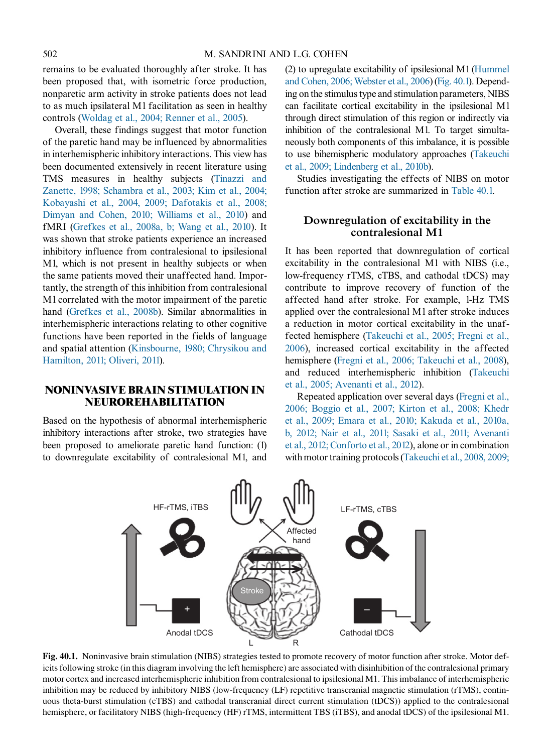remains to be evaluated thoroughly after stroke. It has been proposed that, with isometric force production, nonparetic arm activity in stroke patients does not lead to as much ipsilateral M1 facilitation as seen in healthy controls ([Woldag et al., 2004; Renner et al., 2005](#page-25-0)).

Overall, these findings suggest that motor function of the paretic hand may be influenced by abnormalities in interhemispheric inhibitory interactions. This view has been documented extensively in recent literature using TMS measures in healthy subjects [\(Tinazzi and](#page-24-0) [Zanette, 1998; Schambra et al., 2003; Kim et al., 2004;](#page-24-0) [Kobayashi et al., 2004, 2009; Dafotakis et al., 2008;](#page-24-0) [Dimyan and Cohen, 2010; Williams et al., 2010](#page-24-0)) and fMRI [\(Grefkes et al., 2008a, b; Wang et al., 2010\)](#page-21-0). It was shown that stroke patients experience an increased inhibitory influence from contralesional to ipsilesional M1, which is not present in healthy subjects or when the same patients moved their unaffected hand. Importantly, the strength of this inhibition from contralesional M1 correlated with the motor impairment of the paretic hand [\(Grefkes et al., 2008b\)](#page-21-0). Similar abnormalities in interhemispheric interactions relating to other cognitive functions have been reported in the fields of language and spatial attention ([Kinsbourne, 1980; Chrysikou and](#page-22-0) [Hamilton, 2011; Oliveri, 2011](#page-22-0)).

# NONINVASIVE BRAIN STIMULATION IN NEUROREHABILITATION

Based on the hypothesis of abnormal interhemispheric inhibitory interactions after stroke, two strategies have been proposed to ameliorate paretic hand function: (1) to downregulate excitability of contralesional M1, and (2) to upregulate excitability of ipsilesional M1 [\(Hummel](#page-22-0) [and Cohen, 2006; Webster et al., 2006\)](#page-22-0) (Fig. 40.1). Depending on the stimulus type and stimulation parameters, NIBS can facilitate cortical excitability in the ipsilesional M1 through direct stimulation of this region or indirectly via inhibition of the contralesional M1. To target simultaneously both components of this imbalance, it is possible to use bihemispheric modulatory approaches [\(Takeuchi](#page-24-0) [et al., 2009; Lindenberg et al., 2010b](#page-24-0)).

Studies investigating the effects of NIBS on motor function after stroke are summarized in [Table 40.1.](#page-4-0)

# Downregulation of excitability in the contralesional M1

It has been reported that downregulation of cortical excitability in the contralesional M1 with NIBS (i.e., low-frequency rTMS, cTBS, and cathodal tDCS) may contribute to improve recovery of function of the affected hand after stroke. For example, 1-Hz TMS applied over the contralesional M1 after stroke induces a reduction in motor cortical excitability in the unaffected hemisphere [\(Takeuchi et al., 2005; Fregni et al.,](#page-24-0) [2006\)](#page-24-0), increased cortical excitability in the affected hemisphere ([Fregni et al., 2006; Takeuchi et al., 2008\)](#page-21-0), and reduced interhemispheric inhibition ([Takeuchi](#page-24-0) [et al., 2005; Avenanti et al., 2012\)](#page-24-0).

Repeated application over several days [\(Fregni et al.,](#page-21-0) [2006; Boggio et al., 2007; Kirton et al., 2008; Khedr](#page-21-0) [et al., 2009; Emara et al., 2010; Kakuda et al., 2010a,](#page-21-0) [b, 2012; Nair et al., 2011; Sasaki et al., 2011; Avenanti](#page-21-0) [et al., 2012; Conforto et al., 2012](#page-21-0)), alone or in combination with motor training protocols [\(Takeuchi et al., 2008, 2009;](#page-24-0)



Fig. 40.1. Noninvasive brain stimulation (NIBS) strategies tested to promote recovery of motor function after stroke. Motor deficits following stroke (in this diagram involving the left hemisphere) are associated with disinhibition of the contralesional primary motor cortex and increased interhemispheric inhibition from contralesional to ipsilesional M1. This imbalance of interhemispheric inhibition may be reduced by inhibitory NIBS (low-frequency (LF) repetitive transcranial magnetic stimulation (rTMS), continuous theta-burst stimulation (cTBS) and cathodal transcranial direct current stimulation (tDCS)) applied to the contralesional hemisphere, or facilitatory NIBS (high-frequency (HF) rTMS, intermittent TBS (iTBS), and anodal tDCS) of the ipsilesional M1.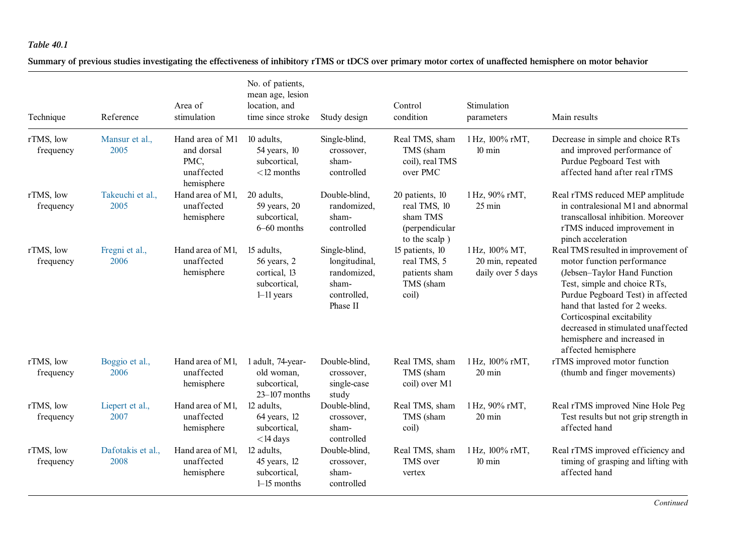<span id="page-4-0"></span>Summary of previous studies investigating the effectiveness of inhibitory rTMS or tDCS over primary motor cortex of unaffected hemisphere on motor behavior

| Technique              | Reference                 | Area of<br>stimulation                                            | No. of patients,<br>mean age, lesion<br>location, and<br>time since stroke | Study design                                                                      | Control<br>condition                                                           | Stimulation<br>parameters                               | Main results                                                                                                                                                                                                                                                                                                                      |
|------------------------|---------------------------|-------------------------------------------------------------------|----------------------------------------------------------------------------|-----------------------------------------------------------------------------------|--------------------------------------------------------------------------------|---------------------------------------------------------|-----------------------------------------------------------------------------------------------------------------------------------------------------------------------------------------------------------------------------------------------------------------------------------------------------------------------------------|
| rTMS, low<br>frequency | Mansur et al.,<br>2005    | Hand area of M1<br>and dorsal<br>PMC,<br>unaffected<br>hemisphere | 10 adults,<br>54 years, 10<br>subcortical,<br>$<$ 12 months                | Single-blind,<br>crossover,<br>sham-<br>controlled                                | Real TMS, sham<br>TMS (sham<br>coil), real TMS<br>over PMC                     | 1 Hz, 100% rMT,<br>$10 \text{ min}$                     | Decrease in simple and choice RTs<br>and improved performance of<br>Purdue Pegboard Test with<br>affected hand after real rTMS                                                                                                                                                                                                    |
| rTMS, low<br>frequency | Takeuchi et al.,<br>2005  | Hand area of M1.<br>unaffected<br>hemisphere                      | 20 adults.<br>59 years, 20<br>subcortical,<br>$6 - 60$ months              | Double-blind,<br>randomized,<br>sham-<br>controlled                               | 20 patients, 10<br>real TMS, 10<br>sham TMS<br>(perpendicular<br>to the scalp) | 1 Hz, 90% rMT,<br>$25 \text{ min}$                      | Real rTMS reduced MEP amplitude<br>in contralesional M1 and abnormal<br>transcallosal inhibition. Moreover<br>rTMS induced improvement in<br>pinch acceleration                                                                                                                                                                   |
| rTMS, low<br>frequency | Fregni et al.,<br>2006    | Hand area of M1.<br>unaffected<br>hemisphere                      | 15 adults,<br>56 years, 2<br>cortical, 13<br>subcortical.<br>$1-11$ years  | Single-blind,<br>longitudinal,<br>randomized,<br>sham-<br>controlled,<br>Phase II | 15 patients, 10<br>real TMS, 5<br>patients sham<br>TMS (sham<br>coil)          | 1 Hz, 100% MT,<br>20 min, repeated<br>daily over 5 days | Real TMS resulted in improvement of<br>motor function performance<br>(Jebsen-Taylor Hand Function<br>Test, simple and choice RTs,<br>Purdue Pegboard Test) in affected<br>hand that lasted for 2 weeks.<br>Corticospinal excitability<br>decreased in stimulated unaffected<br>hemisphere and increased in<br>affected hemisphere |
| rTMS, low<br>frequency | Boggio et al.,<br>2006    | Hand area of M1.<br>unaffected<br>hemisphere                      | 1 adult, 74-year-<br>old woman,<br>subcortical,<br>$23 - 107$ months       | Double-blind,<br>crossover,<br>single-case<br>study                               | Real TMS, sham<br>TMS (sham<br>coil) over M1                                   | 1 Hz, 100% rMT,<br>$20 \text{ min}$                     | rTMS improved motor function<br>(thumb and finger movements)                                                                                                                                                                                                                                                                      |
| rTMS, low<br>frequency | Liepert et al.,<br>2007   | Hand area of M1.<br>unaffected<br>hemisphere                      | 12 adults.<br>$64$ years, 12<br>subcortical.<br>$<$ 14 days                | Double-blind,<br>crossover,<br>sham-<br>controlled                                | Real TMS, sham<br>TMS (sham<br>coil)                                           | 1 Hz, 90% rMT,<br>$20 \text{ min}$                      | Real rTMS improved Nine Hole Peg<br>Test results but not grip strength in<br>affected hand                                                                                                                                                                                                                                        |
| rTMS, low<br>frequency | Dafotakis et al.,<br>2008 | Hand area of M1.<br>unaffected<br>hemisphere                      | 12 adults.<br>45 years, 12<br>subcortical,<br>$1-15$ months                | Double-blind,<br>crossover,<br>sham-<br>controlled                                | Real TMS, sham<br>TMS over<br>vertex                                           | 1 Hz, 100% rMT,<br>$10 \text{ min}$                     | Real rTMS improved efficiency and<br>timing of grasping and lifting with<br>affected hand                                                                                                                                                                                                                                         |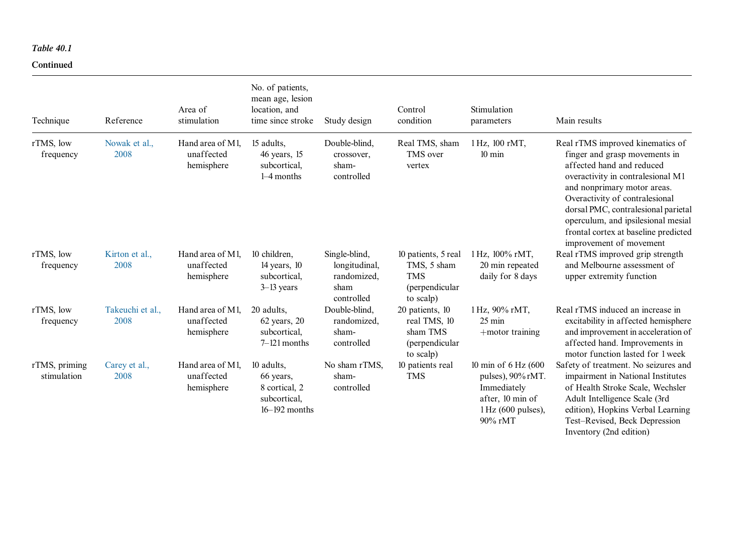#### Continued

| Technique                    | Reference                | Area of<br>stimulation                       | No. of patients,<br>mean age, lesion<br>location, and<br>time since stroke    | Study design                                                        | Control<br>condition                                                             | Stimulation<br>parameters                                                                                                 | Main results                                                                                                                                                                                                                                                                                                                                         |
|------------------------------|--------------------------|----------------------------------------------|-------------------------------------------------------------------------------|---------------------------------------------------------------------|----------------------------------------------------------------------------------|---------------------------------------------------------------------------------------------------------------------------|------------------------------------------------------------------------------------------------------------------------------------------------------------------------------------------------------------------------------------------------------------------------------------------------------------------------------------------------------|
| rTMS, low<br>frequency       | Nowak et al.,<br>2008    | Hand area of M1,<br>unaffected<br>hemisphere | 15 adults,<br>46 years, 15<br>subcortical,<br>$1-4$ months                    | Double-blind,<br>crossover,<br>sham-<br>controlled                  | Real TMS, sham<br>TMS over<br>vertex                                             | 1 Hz, 100 rMT,<br>$10 \text{ min}$                                                                                        | Real rTMS improved kinematics of<br>finger and grasp movements in<br>affected hand and reduced<br>overactivity in contralesional M1<br>and nonprimary motor areas.<br>Overactivity of contralesional<br>dorsal PMC, contralesional parietal<br>operculum, and ipsilesional mesial<br>frontal cortex at baseline predicted<br>improvement of movement |
| rTMS, low<br>frequency       | Kirton et al.,<br>2008   | Hand area of M1,<br>unaffected<br>hemisphere | 10 children,<br>$14$ years, $10$<br>subcortical,<br>$3-13$ years              | Single-blind,<br>longitudinal,<br>randomized,<br>sham<br>controlled | 10 patients, 5 real<br>TMS, 5 sham<br><b>TMS</b><br>(perpendicular)<br>to scalp) | 1 Hz, 100% rMT,<br>20 min repeated<br>daily for 8 days                                                                    | Real rTMS improved grip strength<br>and Melbourne assessment of<br>upper extremity function                                                                                                                                                                                                                                                          |
| rTMS, low<br>frequency       | Takeuchi et al.,<br>2008 | Hand area of M1,<br>unaffected<br>hemisphere | 20 adults,<br>$62$ years, $20$<br>subcortical,<br>$7-121$ months              | Double-blind,<br>randomized,<br>sham-<br>controlled                 | 20 patients, 10<br>real TMS, 10<br>sham TMS<br>(perpendicular)<br>to scalp)      | 1 Hz, 90% rMT,<br>$25 \text{ min}$<br>$+$ motor training                                                                  | Real rTMS induced an increase in<br>excitability in affected hemisphere<br>and improvement in acceleration of<br>affected hand. Improvements in<br>motor function lasted for 1 week                                                                                                                                                                  |
| rTMS, priming<br>stimulation | Carey et al.,<br>2008    | Hand area of M1,<br>unaffected<br>hemisphere | 10 adults,<br>66 years,<br>8 cortical, 2<br>subcortical,<br>$16 - 192$ months | No sham rTMS,<br>sham-<br>controlled                                | 10 patients real<br><b>TMS</b>                                                   | 10 min of 6 Hz (600<br>pulses), $90\% \mathrm{rMT}$ .<br>Immediately<br>after, 10 min of<br>1 Hz (600 pulses),<br>90% rMT | Safety of treatment. No seizures and<br>impairment in National Institutes<br>of Health Stroke Scale, Wechsler<br>Adult Intelligence Scale (3rd<br>edition), Hopkins Verbal Learning<br>Test-Revised, Beck Depression<br>Inventory (2nd edition)                                                                                                      |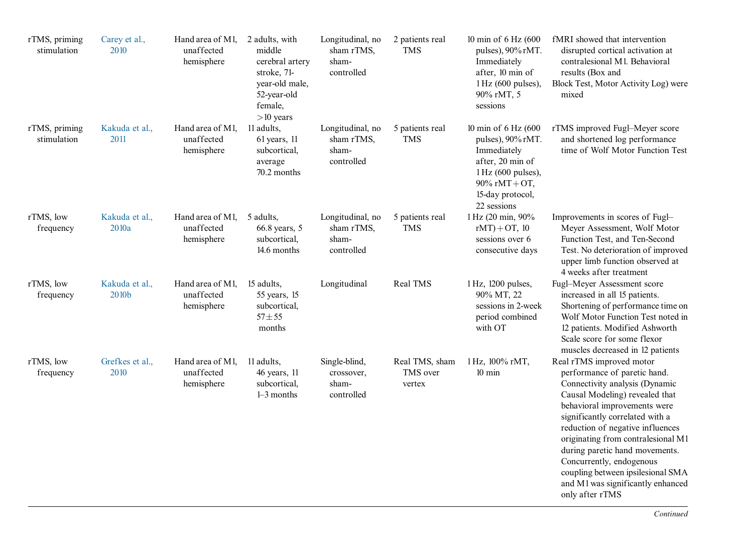| rTMS, priming<br>stimulation | Carey et al.,<br>2010   | Hand area of M1,<br>unaffected<br>hemisphere | 2 adults, with<br>middle<br>cerebral artery<br>stroke, 71-<br>year-old male,<br>52-year-old<br>female,<br>$>10$ years | Longitudinal, no<br>sham rTMS,<br>sham-<br>controlled | 2 patients real<br><b>TMS</b>        | 10 min of 6 Hz (600<br>pulses), 90% rMT.<br>Immediately<br>after, 10 min of<br>$1 Hz$ (600 pulses),<br>90% rMT, 5<br>sessions                         | fMRI showed that intervention<br>disrupted cortical activation at<br>contralesional M1. Behavioral<br>results (Box and<br>Block Test, Motor Activity Log) were<br>mixed                                                                                                                                                                                                                                                              |
|------------------------------|-------------------------|----------------------------------------------|-----------------------------------------------------------------------------------------------------------------------|-------------------------------------------------------|--------------------------------------|-------------------------------------------------------------------------------------------------------------------------------------------------------|--------------------------------------------------------------------------------------------------------------------------------------------------------------------------------------------------------------------------------------------------------------------------------------------------------------------------------------------------------------------------------------------------------------------------------------|
| rTMS, priming<br>stimulation | Kakuda et al.,<br>2011  | Hand area of M1,<br>unaffected<br>hemisphere | 11 adults.<br>$61$ years, 11<br>subcortical,<br>average<br>70.2 months                                                | Longitudinal, no<br>sham rTMS,<br>sham-<br>controlled | 5 patients real<br><b>TMS</b>        | 10 min of 6 Hz (600<br>pulses), 90% rMT.<br>Immediately<br>after, 20 min of<br>1 Hz (600 pulses),<br>90% rMT + OT,<br>15-day protocol,<br>22 sessions | rTMS improved Fugl-Meyer score<br>and shortened log performance<br>time of Wolf Motor Function Test                                                                                                                                                                                                                                                                                                                                  |
| rTMS, low<br>frequency       | Kakuda et al.,<br>2010a | Hand area of M1,<br>unaffected<br>hemisphere | 5 adults,<br>66.8 years, 5<br>subcortical,<br>14.6 months                                                             | Longitudinal, no<br>sham rTMS,<br>sham-<br>controlled | 5 patients real<br><b>TMS</b>        | 1 Hz (20 min, 90%<br>$rMT$ ) + OT, 10<br>sessions over 6<br>consecutive days                                                                          | Improvements in scores of Fugl-<br>Meyer Assessment, Wolf Motor<br>Function Test, and Ten-Second<br>Test. No deterioration of improved<br>upper limb function observed at<br>4 weeks after treatment                                                                                                                                                                                                                                 |
| rTMS, low<br>frequency       | Kakuda et al.,<br>2010b | Hand area of M1,<br>unaffected<br>hemisphere | 15 adults,<br>55 years, 15<br>subcortical,<br>$57 + 55$<br>months                                                     | Longitudinal                                          | Real TMS                             | 1 Hz, 1200 pulses,<br>90% MT, 22<br>sessions in 2-week<br>period combined<br>with OT                                                                  | Fugl-Meyer Assessment score<br>increased in all 15 patients.<br>Shortening of performance time on<br>Wolf Motor Function Test noted in<br>12 patients. Modified Ashworth<br>Scale score for some flexor<br>muscles decreased in 12 patients                                                                                                                                                                                          |
| rTMS, low<br>frequency       | Grefkes et al.,<br>2010 | Hand area of M1,<br>unaffected<br>hemisphere | 11 adults,<br>46 years, 11<br>subcortical,<br>$1-3$ months                                                            | Single-blind,<br>crossover,<br>sham-<br>controlled    | Real TMS, sham<br>TMS over<br>vertex | 1 Hz, 100% rMT,<br>$10 \text{ min}$                                                                                                                   | Real rTMS improved motor<br>performance of paretic hand.<br>Connectivity analysis (Dynamic<br>Causal Modeling) revealed that<br>behavioral improvements were<br>significantly correlated with a<br>reduction of negative influences<br>originating from contralesional M1<br>during paretic hand movements.<br>Concurrently, endogenous<br>coupling between ipsilesional SMA<br>and M1 was significantly enhanced<br>only after rTMS |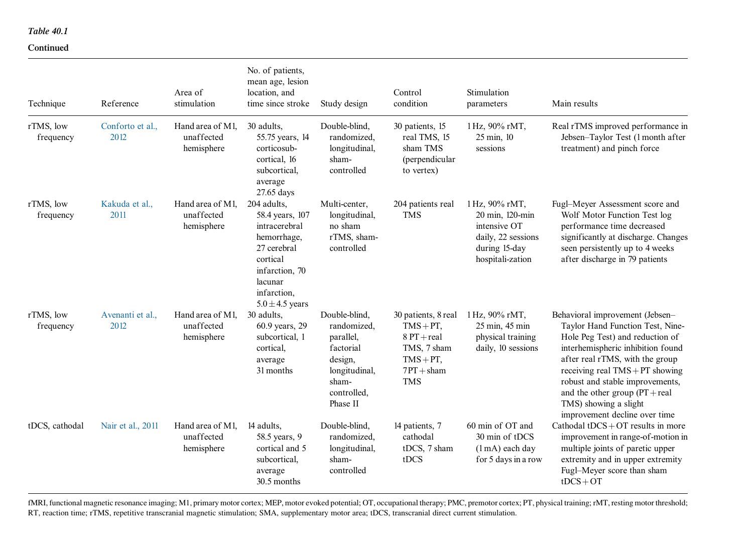# Continued

| Technique              | Reference                | Area of<br>stimulation                       | No. of patients,<br>mean age, lesion<br>location, and<br>time since stroke                                                                                   | Study design                                                                                                           | Control<br>condition                                                                                             | Stimulation<br>parameters                                                                                    | Main results                                                                                                                                                                                                                                                                                                                                          |
|------------------------|--------------------------|----------------------------------------------|--------------------------------------------------------------------------------------------------------------------------------------------------------------|------------------------------------------------------------------------------------------------------------------------|------------------------------------------------------------------------------------------------------------------|--------------------------------------------------------------------------------------------------------------|-------------------------------------------------------------------------------------------------------------------------------------------------------------------------------------------------------------------------------------------------------------------------------------------------------------------------------------------------------|
| rTMS, low<br>frequency | Conforto et al.,<br>2012 | Hand area of M1,<br>unaffected<br>hemisphere | 30 adults.<br>55.75 years, 14<br>corticosub-<br>cortical, 16<br>subcortical,<br>average<br>27.65 days                                                        | Double-blind,<br>randomized,<br>longitudinal,<br>sham-<br>controlled                                                   | 30 patients, 15<br>real TMS, 15<br>sham TMS<br>(perpendicular<br>to vertex)                                      | 1 Hz, 90% rMT,<br>25 min, 10<br>sessions                                                                     | Real rTMS improved performance in<br>Jebsen-Taylor Test (1 month after<br>treatment) and pinch force                                                                                                                                                                                                                                                  |
| rTMS, low<br>frequency | Kakuda et al.,<br>2011   | Hand area of M1.<br>unaffected<br>hemisphere | 204 adults,<br>58.4 years, 107<br>intracerebral<br>hemorrhage,<br>27 cerebral<br>cortical<br>infarction, 70<br>lacunar<br>infarction,<br>$5.0 \pm 4.5$ years | Multi-center,<br>longitudinal,<br>no sham<br>rTMS, sham-<br>controlled                                                 | 204 patients real<br><b>TMS</b>                                                                                  | 1 Hz, 90% rMT,<br>20 min, 120-min<br>intensive OT<br>daily, 22 sessions<br>during 15-day<br>hospitali-zation | Fugl-Meyer Assessment score and<br>Wolf Motor Function Test log<br>performance time decreased<br>significantly at discharge. Changes<br>seen persistently up to 4 weeks<br>after discharge in 79 patients                                                                                                                                             |
| rTMS, low<br>frequency | Avenanti et al.,<br>2012 | Hand area of M1.<br>unaffected<br>hemisphere | 30 adults,<br>60.9 years, 29<br>subcortical, 1<br>cortical,<br>average<br>31 months                                                                          | Double-blind,<br>randomized,<br>parallel,<br>factorial<br>design,<br>longitudinal,<br>sham-<br>controlled,<br>Phase II | 30 patients, 8 real<br>$TMS + PT$ ,<br>$8PT + real$<br>TMS, 7 sham<br>$TMS + PT$ ,<br>$7PT + sham$<br><b>TMS</b> | 1 Hz, 90% rMT,<br>25 min, 45 min<br>physical training<br>daily, 10 sessions                                  | Behavioral improvement (Jebsen-<br>Taylor Hand Function Test, Nine-<br>Hole Peg Test) and reduction of<br>interhemispheric inhibition found<br>after real rTMS, with the group<br>receiving real $TMS + PT$ showing<br>robust and stable improvements,<br>and the other group $(PT + real)$<br>TMS) showing a slight<br>improvement decline over time |
| tDCS, cathodal         | Nair et al., 2011        | Hand area of M1.<br>unaffected<br>hemisphere | 14 adults,<br>58.5 years, 9<br>cortical and 5<br>subcortical,<br>average<br>30.5 months                                                                      | Double-blind,<br>randomized,<br>longitudinal,<br>sham-<br>controlled                                                   | 14 patients, 7<br>cathodal<br>tDCS, 7 sham<br>tDCS                                                               | 60 min of OT and<br>30 min of tDCS<br>(1 mA) each day<br>for 5 days in a row                                 | Cathodal tDCS + $OT$ results in more<br>improvement in range-of-motion in<br>multiple joints of paretic upper<br>extremity and in upper extremity<br>Fugl-Meyer score than sham<br>$tDCS+OT$                                                                                                                                                          |

fMRI, functional magnetic resonance imaging; M1, primary motor cortex; MEP, motor evoked potential; OT, occupational therapy; PMC, premotor cortex; PT, physical training; rMT, resting motor threshold; RT, reaction time; rTMS, repetitive transcranial magnetic stimulation; SMA, supplementary motor area; tDCS, transcranial direct current stimulation.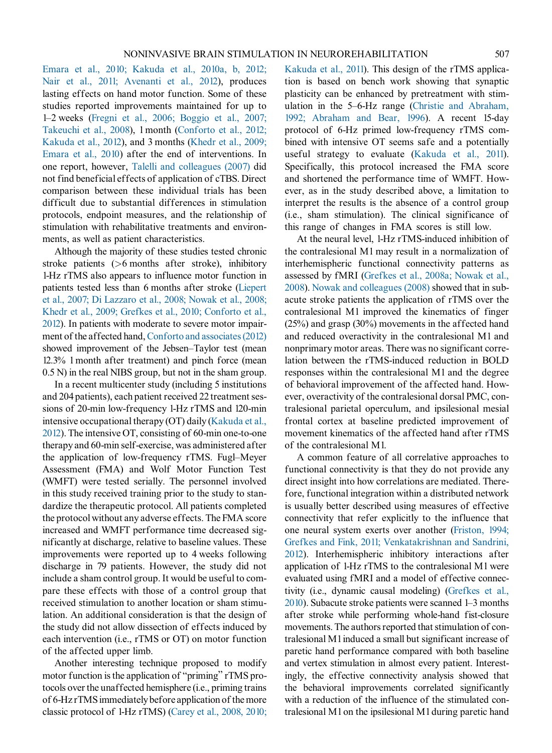[Emara et al., 2010; Kakuda et al., 2010a, b, 2012;](#page-24-0) [Nair et al., 2011; Avenanti et al., 2012\)](#page-24-0), produces lasting effects on hand motor function. Some of these studies reported improvements maintained for up to 1–2 weeks [\(Fregni et al., 2006; Boggio et al., 2007;](#page-21-0) Takeuchi [et al., 2008\)](#page-21-0), 1 month [\(Conforto et al., 2012;](#page-21-0) Kakuda [et al., 2012\)](#page-21-0), and 3 months ([Khedr et al., 2009;](#page-22-0) Emara et [al., 2010\)](#page-22-0) after the end of interventions. In one report, however, [Talelli and colleagues \(2007\)](#page-24-0) did not find beneficial effects of application of cTBS. Direct comparison between these individual trials has been difficult due to substantial differences in stimulation protocols, endpoint measures, and the relationship of stimulation with rehabilitative treatments and environments, as well as patient characteristics.

Although the majority of these studies tested chronic stroke patients (>6 months after stroke), inhibitory 1-Hz rTMS also appears to influence motor function in patients tested less than 6 months after stroke [\(Liepert](#page-23-0) et [al., 2007; Di Lazzaro et al., 2008; Nowak et al., 2008;](#page-23-0) [Khedr et al., 2009; Grefkes et al., 2010; Conforto et al.,](#page-23-0) [2012](#page-23-0)). In patients with moderate to severe motor impair-ment of the affected hand, [Conforto and associates \(2012\)](#page-21-0) showed improvement of the Jebsen–Taylor test (mean 12.3% 1 month after treatment) and pinch force (mean 0.5 N) in the real NIBS group, but not in the sham group.

In a recent multicenter study (including 5 institutions and 204 patients), each patient received 22 treatment sessions of 20-min low-frequency 1-Hz rTMS and 120-min intensive occupational therapy (OT) daily [\(Kakuda et al.,](#page-22-0) [2012\)](#page-22-0). The intensive OT, consisting of 60-min one-to-one therapy and 60-min self-exercise, was administered after the application of low-frequency rTMS. Fugl–Meyer Assessment (FMA) and Wolf Motor Function Test (WMFT) were tested serially. The personnel involved in this study received training prior to the study to standardize the therapeutic protocol. All patients completed the protocol without any adverse effects. The FMA score increased and WMFT performance time decreased significantly at discharge, relative to baseline values. These improvements were reported up to 4 weeks following discharge in 79 patients. However, the study did not include a sham control group. It would be useful to compare these effects with those of a control group that received stimulation to another location or sham stimulation. An additional consideration is that the design of the study did not allow dissection of effects induced by each intervention (i.e., rTMS or OT) on motor function of the affected upper limb.

Another interesting technique proposed to modify motor function is the application of "priming" rTMS protocols over the unaffected hemisphere (i.e., priming trains of 6-Hz rTMS immediately before application of the more classic protocol of 1-Hz rTMS) ([Carey et al., 2008, 2010;](#page-20-0) Kakuda et [al., 2011\)](#page-20-0). This design of the rTMS application is based on bench work showing that synaptic plasticity can be enhanced by pretreatment with stimulation in the 5–6-Hz range [\(Christie and Abraham,](#page-20-0) 1992; [Abraham and Bear, 1996](#page-20-0)). A recent 15-day protocol of 6-Hz primed low-frequency rTMS combined with intensive OT seems safe and a potentially useful strategy to evaluate ([Kakuda et al., 2011\)](#page-22-0). Specifically, this protocol increased the FMA score and shortened the performance time of WMFT. However, as in the study described above, a limitation to interpret the results is the absence of a control group (i.e., sham stimulation). The clinical significance of this range of changes in FMA scores is still low.

At the neural level, 1-Hz rTMS-induced inhibition of the contralesional M1 may result in a normalization of interhemispheric functional connectivity patterns as assessed by fMRI [\(Grefkes et al., 2008a; Nowak et al.,](#page-21-0) [2008](#page-21-0)). [Nowak and colleagues \(2008\)](#page-23-0) showed that in subacute stroke patients the application of rTMS over the contralesional M1 improved the kinematics of finger (25%) and grasp (30%) movements in the affected hand and reduced overactivity in the contralesional M1 and nonprimary motor areas. There was no significant correlation between the rTMS-induced reduction in BOLD responses within the contralesional M1 and the degree of behavioral improvement of the affected hand. However, overactivity of the contralesional dorsal PMC, contralesional parietal operculum, and ipsilesional mesial frontal cortex at baseline predicted improvement of movement kinematics of the affected hand after rTMS of the contralesional M1.

A common feature of all correlative approaches to functional connectivity is that they do not provide any direct insight into how correlations are mediated. Therefore, functional integration within a distributed network is usually better described using measures of effective connectivity that refer explicitly to the influence that one neural system exerts over another ([Friston, 1994;](#page-21-0) Grefkes and [Fink, 2011; Venkatakrishnan and Sandrini,](#page-21-0) [2012\)](#page-21-0). Interhemispheric inhibitory interactions after application of 1-Hz rTMS to the contralesional M1 were evaluated using fMRI and a model of effective connectivity (i.e., dynamic causal modeling) [\(Grefkes et al.,](#page-22-0) [2010\)](#page-22-0). Subacute stroke patients were scanned 1–3 months after stroke while performing whole-hand fist-closure movements. The authors reported that stimulation of contralesional M1 induced a small but significant increase of paretic hand performance compared with both baseline and vertex stimulation in almost every patient. Interestingly, the effective connectivity analysis showed that the behavioral improvements correlated significantly with a reduction of the influence of the stimulated contralesional M1 on the ipsilesional M1 during paretic hand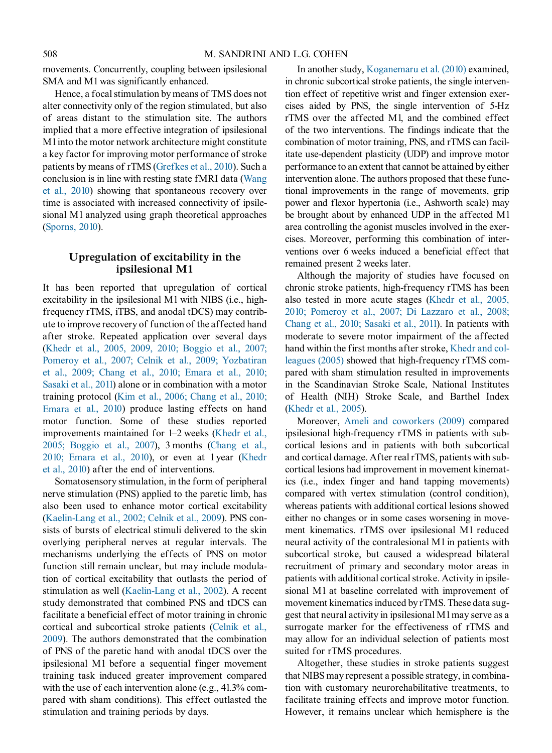movements. Concurrently, coupling between ipsilesional SMA and M1 was significantly enhanced.

Hence, a focal stimulation by means of TMS does not alter connectivity only of the region stimulated, but also of areas distant to the stimulation site. The authors implied that a more effective integration of ipsilesional M1 into the motor network architecture might constitute a key factor for improving motor performance of stroke patients by means of rTMS ([Grefkes et al., 2010\)](#page-22-0). Such a conclusion is in line with resting state fMRI data ([Wang](#page-25-0) [et al.,](#page-25-0) 2010) showing that spontaneous recovery over time is associated with increased connectivity of ipsilesional M1 analyzed using graph theoretical approaches [\(Sporns, 2010](#page-24-0)).

# Upregulation of excitability in the ipsilesional M1

It has been reported that upregulation of cortical excitability in the ipsilesional M1 with NIBS (i.e., highfrequency rTMS, iTBS, and anodal tDCS) may contribute to improve recovery of function of the affected hand after stroke. Repeated application over several days [\(Khedr et al., 2005, 2009, 2010; Boggio et al., 2007;](#page-22-0) Pomeroy [et al., 2007; Celnik et al., 2009; Yozbatiran](#page-22-0) [et al., 2009; Chang et al., 2010; Emara et al., 2010;](#page-22-0) [Sasaki et al., 2011](#page-22-0)) alone or in combination with a motor training protocol ([Kim et al., 2006; Chang et al., 2010;](#page-22-0) Emara et [al., 2010](#page-22-0)) produce lasting effects on hand motor function. Some of these studies reported improvements maintained for 1–2 weeks [\(Khedr et al.,](#page-22-0) 2005; Boggio [et al., 2007](#page-22-0)), 3 months ([Chang et al.,](#page-20-0) [2010; Emara et al., 2010\)](#page-20-0), or even at 1 year [\(Khedr](#page-22-0) et al., [2010](#page-22-0)) after the end of interventions.

Somatosensory stimulation, in the form of peripheral nerve stimulation (PNS) applied to the paretic limb, has also been used to enhance motor cortical excitability [\(Kaelin-Lang et al., 2002; Celnik et al., 2009](#page-22-0)). PNS consists of bursts of electrical stimuli delivered to the skin overlying peripheral nerves at regular intervals. The mechanisms underlying the effects of PNS on motor function still remain unclear, but may include modulation of cortical excitability that outlasts the period of stimulation as well [\(Kaelin-Lang et al., 2002](#page-22-0)). A recent study demonstrated that combined PNS and tDCS can facilitate a beneficial effect of motor training in chronic cortical and subcortical stroke patients ([Celnik et al.,](#page-20-0) [2009\)](#page-20-0). The authors demonstrated that the combination of PNS of the paretic hand with anodal tDCS over the ipsilesional M1 before a sequential finger movement training task induced greater improvement compared with the use of each intervention alone (e.g., 41.3% compared with sham conditions). This effect outlasted the stimulation and training periods by days.

In another study, [Koganemaru et al. \(2010\)](#page-22-0) examined, in chronic subcortical stroke patients, the single intervention effect of repetitive wrist and finger extension exercises aided by PNS, the single intervention of 5-Hz rTMS over the affected M1, and the combined effect of the two interventions. The findings indicate that the combination of motor training, PNS, and rTMS can facilitate use-dependent plasticity (UDP) and improve motor performance to an extent that cannot be attained by either intervention alone. The authors proposed that these functional improvements in the range of movements, grip power and flexor hypertonia (i.e., Ashworth scale) may be brought about by enhanced UDP in the affected M1 area controlling the agonist muscles involved in the exercises. Moreover, performing this combination of interventions over 6 weeks induced a beneficial effect that remained present 2 weeks later.

Although the majority of studies have focused on chronic stroke patients, high-frequency rTMS has been also tested in more acute stages [\(Khedr et al., 2005,](#page-22-0) 2010; Pomeroy [et al., 2007; Di Lazzaro et al., 2008;](#page-22-0) [Chang et al., 2010; Sasaki et al., 2011\)](#page-22-0). In patients with moderate to severe motor impairment of the affected hand within the first months after stroke, [Khedr and col](#page-22-0)[leagues](#page-22-0) (2005) showed that high-frequency rTMS compared with sham stimulation resulted in improvements in the Scandinavian Stroke Scale, National Institutes of Health (NIH) Stroke Scale, and Barthel Index [\(Khedr et al., 2005](#page-22-0)).

Moreover, Ameli [and coworkers \(2009\)](#page-20-0) compared ipsilesional high-frequency rTMS in patients with subcortical lesions and in patients with both subcortical and cortical damage. After real rTMS, patients with subcortical lesions had improvement in movement kinematics (i.e., index finger and hand tapping movements) compared with vertex stimulation (control condition), whereas patients with additional cortical lesions showed either no changes or in some cases worsening in movement kinematics. rTMS over ipsilesional M1 reduced neural activity of the contralesional M1 in patients with subcortical stroke, but caused a widespread bilateral recruitment of primary and secondary motor areas in patients with additional cortical stroke. Activity in ipsilesional M1 at baseline correlated with improvement of movement kinematics induced by rTMS. These data suggest that neural activity in ipsilesional M1 may serve as a surrogate marker for the effectiveness of rTMS and may allow for an individual selection of patients most suited for rTMS procedures.

Altogether, these studies in stroke patients suggest that NIBS may represent a possible strategy, in combination with customary neurorehabilitative treatments, to facilitate training effects and improve motor function. However, it remains unclear which hemisphere is the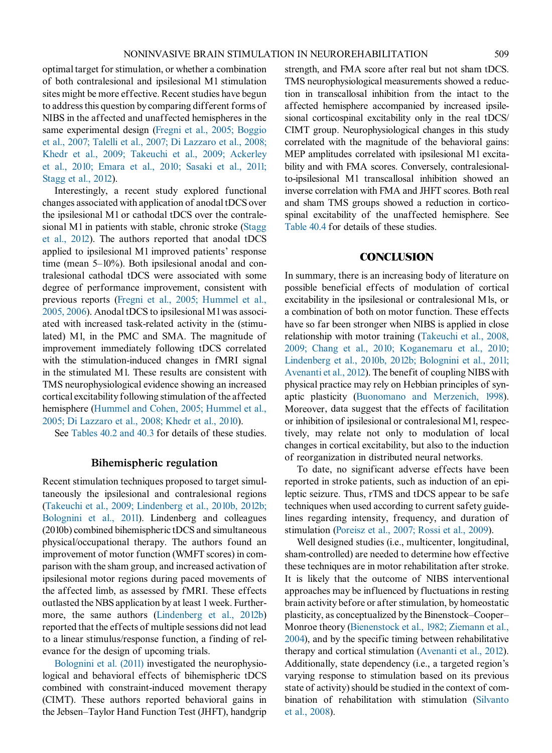optimal target for stimulation, or whether a combination of both contralesional and ipsilesional M1 stimulation sites might be more effective. Recent studies have begun to address this question by comparing different forms of NIBS in the affected and unaffected hemispheres in the same experimental design ([Fregni et al., 2005; Boggio](#page-21-0) et al., [2007; Talelli et al., 2007; Di Lazzaro et al., 2008;](#page-21-0) [Khedr et al., 2009; Takeuchi et al., 2009; Ackerley](#page-21-0) [et al., 2010; Emara et al., 2010; Sasaki et al., 2011;](#page-21-0) [Stagg et al., 2012](#page-21-0)).

Interestingly, a recent study explored functional changes associated with application of anodal tDCS over the ipsilesional M1 or cathodal tDCS over the contralesional M1 in patients with stable, chronic stroke [\(Stagg](#page-24-0) et al., [2012](#page-24-0)). The authors reported that anodal tDCS applied to ipsilesional M1 improved patients' response time (mean 5–10%). Both ipsilesional anodal and contralesional cathodal tDCS were associated with some degree of performance improvement, consistent with previous reports ([Fregni et al., 2005; Hummel et al.,](#page-21-0) [2005,](#page-21-0) 2006). Anodal tDCS to ipsilesional M1 was associated with increased task-related activity in the (stimulated) M1, in the PMC and SMA. The magnitude of improvement immediately following tDCS correlated with the stimulation-induced changes in fMRI signal in the stimulated M1. These results are consistent with TMS neurophysiological evidence showing an increased cortical excitability following stimulation of the affected hemisphere ([Hummel and Cohen, 2005; Hummel et al.,](#page-22-0) 2005; Di [Lazzaro et al., 2008; Khedr et al., 2010\)](#page-22-0).

See [Tables 40.2 and 40.3](#page-11-0) for details of these studies.

# Bihemispheric regulation

Recent stimulation techniques proposed to target simultaneously the ipsilesional and contralesional regions ([Takeuchi et al., 2009; Lindenberg et al., 2010b, 2012b;](#page-24-0) Bolognini [et al., 2011](#page-24-0)). Lindenberg and colleagues (2010b) combined bihemispheric tDCS and simultaneous physical/occupational therapy. The authors found an improvement of motor function (WMFT scores) in comparison with the sham group, and increased activation of ipsilesional motor regions during paced movements of the affected limb, as assessed by fMRI. These effects outlasted the NBS application by at least 1 week. Furthermore, the same authors [\(Lindenberg et al., 2012b\)](#page-23-0) reported that the effects of multiple sessions did not lead to a linear stimulus/response function, a finding of relevance for the design of upcoming trials.

[Bolognini et al. \(2011\)](#page-20-0) investigated the neurophysiological and behavioral effects of bihemispheric tDCS combined with constraint-induced movement therapy (CIMT). These authors reported behavioral gains in the Jebsen–Taylor Hand Function Test (JHFT), handgrip strength, and FMA score after real but not sham tDCS. TMS neurophysiological measurements showed a reduction in transcallosal inhibition from the intact to the affected hemisphere accompanied by increased ipsilesional corticospinal excitability only in the real tDCS/ CIMT group. Neurophysiological changes in this study correlated with the magnitude of the behavioral gains: MEP amplitudes correlated with ipsilesional M1 excitability and with FMA scores. Conversely, contralesionalto-ipsilesional M1 transcallosal inhibition showed an inverse correlation with FMA and JHFT scores. Both real and sham TMS groups showed a reduction in corticospinal excitability of the unaffected hemisphere. See [Table 40.4](#page-18-0) for details of these studies.

# **CONCLUSION**

In summary, there is an increasing body of literature on possible beneficial effects of modulation of cortical excitability in the ipsilesional or contralesional M1s, or a combination of both on motor function. These effects have so far been stronger when NIBS is applied in close relationship with motor training [\(Takeuchi et al., 2008,](#page-24-0) 2009; [Chang et al., 2010; Koganemaru et al., 2010;](#page-24-0) [Lindenberg et al., 2010b, 2012b; Bolognini et al., 2011;](#page-24-0) [Avenanti et al., 2012](#page-24-0)). The benefit of coupling NIBS with physical practice may rely on Hebbian principles of synaptic plasticity ([Buonomano and Merzenich, 1998\)](#page-20-0). Moreover, data suggest that the effects of facilitation or inhibition of ipsilesional or contralesional M1, respectively, may relate not only to modulation of local changes in cortical excitability, but also to the induction of reorganization in distributed neural networks.

To date, no significant adverse effects have been reported in stroke patients, such as induction of an epileptic seizure. Thus, rTMS and tDCS appear to be safe techniques when used according to current safety guidelines regarding intensity, frequency, and duration of stimulation ([Poreisz et al., 2007; Rossi et al., 2009\)](#page-23-0).

Well designed studies (i.e., multicenter, longitudinal, sham-controlled) are needed to determine how effective these techniques are in motor rehabilitation after stroke. It is likely that the outcome of NIBS interventional approaches may be influenced by fluctuations in resting brain activity before or after stimulation, by homeostatic plasticity, as conceptualized by the Binenstock–Cooper– Monroe theory ([Bienenstock et al., 1982; Ziemann et al.,](#page-20-0) [2004](#page-20-0)), and by the specific timing between rehabilitative therapy and cortical stimulation [\(Avenanti et al., 2012](#page-20-0)). Additionally, state dependency (i.e., a targeted region's varying response to stimulation based on its previous state of activity) should be studied in the context of combination of rehabilitation with stimulation ([Silvanto](#page-24-0) et al., [2008](#page-24-0)).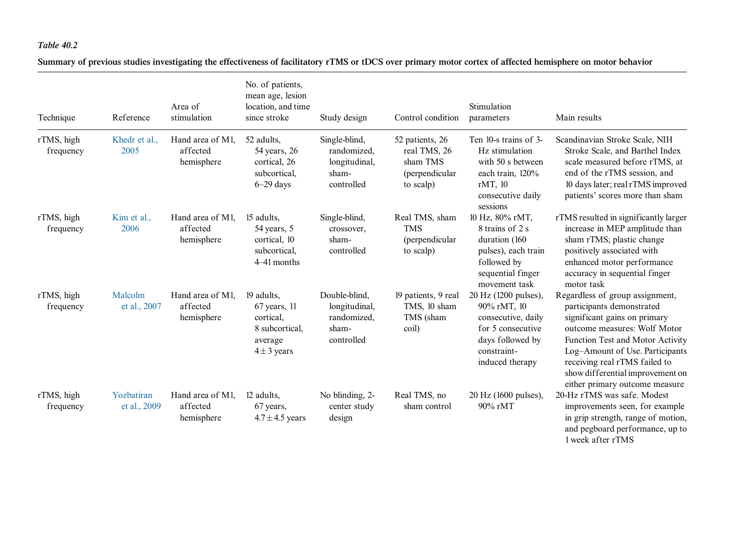<span id="page-11-0"></span>Summary of previous studies investigating the effectiveness of facilitatory rTMS or tDCS over primary motor cortex of affected hemisphere on motor behavior

| Technique               | Reference                  | Area of<br>stimulation                     | No. of patients,<br>mean age, lesion<br>location, and time<br>since stroke                  | Study design                                                         | Control condition                                                          | Stimulation<br>parameters                                                                                                            | Main results                                                                                                                                                                                                                                                                                               |
|-------------------------|----------------------------|--------------------------------------------|---------------------------------------------------------------------------------------------|----------------------------------------------------------------------|----------------------------------------------------------------------------|--------------------------------------------------------------------------------------------------------------------------------------|------------------------------------------------------------------------------------------------------------------------------------------------------------------------------------------------------------------------------------------------------------------------------------------------------------|
| rTMS, high<br>frequency | Khedr et al.,<br>2005      | Hand area of M1,<br>affected<br>hemisphere | 52 adults,<br>54 years, 26<br>cortical, 26<br>subcortical,<br>$6-29$ days                   | Single-blind,<br>randomized,<br>longitudinal,<br>sham-<br>controlled | 52 patients, 26<br>real TMS, 26<br>sham TMS<br>(perpendicular<br>to scalp) | Ten 10-s trains of 3-<br>Hz stimulation<br>with 50 s between<br>each train, 120%<br>rMT, 10<br>consecutive daily<br>sessions         | Scandinavian Stroke Scale, NIH<br>Stroke Scale, and Barthel Index<br>scale measured before rTMS, at<br>end of the rTMS session, and<br>10 days later; real rTMS improved<br>patients' scores more than sham                                                                                                |
| rTMS, high<br>frequency | Kim et al.,<br>2006        | Hand area of M1,<br>affected<br>hemisphere | 15 adults,<br>54 years, 5<br>cortical, 10<br>subcortical,<br>4–41 months                    | Single-blind,<br>crossover,<br>sham-<br>controlled                   | Real TMS, sham<br><b>TMS</b><br>(perpendicular<br>to scalp)                | 10 Hz, 80% rMT,<br>8 trains of 2 s<br>duration (160<br>pulses), each train<br>followed by<br>sequential finger<br>movement task      | rTMS resulted in significantly larger<br>increase in MEP amplitude than<br>sham rTMS; plastic change<br>positively associated with<br>enhanced motor performance<br>accuracy in sequential finger<br>motor task                                                                                            |
| rTMS, high<br>frequency | Malcolm<br>et al., 2007    | Hand area of M1,<br>affected<br>hemisphere | 19 adults,<br>$67$ years, $11$<br>cortical.<br>8 subcortical,<br>average<br>$4 \pm 3$ years | Double-blind,<br>longitudinal,<br>randomized,<br>sham-<br>controlled | 19 patients, 9 real<br>TMS, 10 sham<br>TMS (sham<br>coil)                  | 20 Hz (1200 pulses),<br>90% rMT, 10<br>consecutive, daily<br>for 5 consecutive<br>days followed by<br>constraint-<br>induced therapy | Regardless of group assignment,<br>participants demonstrated<br>significant gains on primary<br>outcome measures: Wolf Motor<br>Function Test and Motor Activity<br>Log-Amount of Use. Participants<br>receiving real rTMS failed to<br>show differential improvement on<br>either primary outcome measure |
| rTMS, high<br>frequency | Yozbatiran<br>et al., 2009 | Hand area of M1,<br>affected<br>hemisphere | 12 adults,<br>67 years,<br>$4.7 \pm 4.5$ years                                              | No blinding, 2-<br>center study<br>design                            | Real TMS, no<br>sham control                                               | 20 Hz (1600 pulses),<br>90% rMT                                                                                                      | 20-Hz rTMS was safe. Modest<br>improvements seen, for example<br>in grip strength, range of motion,<br>and pegboard performance, up to<br>1 week after rTMS                                                                                                                                                |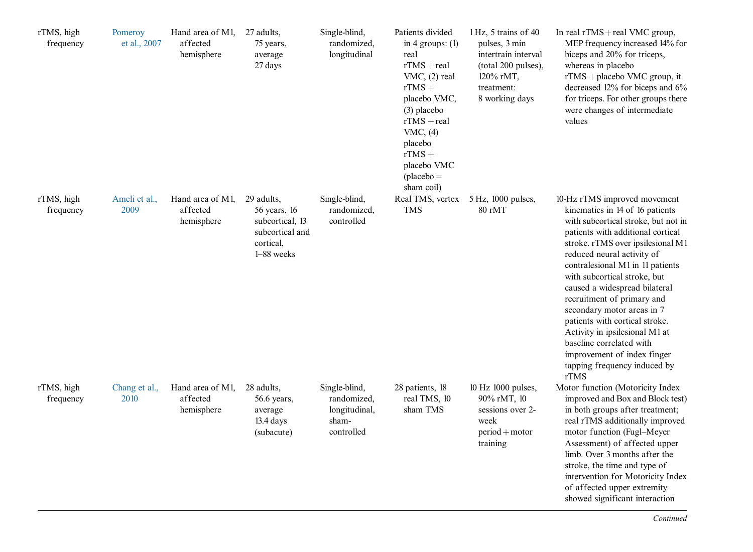| rTMS, high<br>frequency | Pomeroy<br>et al., 2007 | Hand area of M1,<br>affected<br>hemisphere | 27 adults,<br>75 years,<br>average<br>27 days                                               | Single-blind,<br>randomized,<br>longitudinal                         | Patients divided<br>in 4 groups: $(1)$<br>real<br>$rTMS + real$<br>VMC, (2) real<br>$rTMS +$<br>placebo VMC,<br>$(3)$ placebo<br>$rTMS + real$<br>VMC, $(4)$<br>placebo<br>$rTMS +$<br>placebo VMC<br>$(placebo =$<br>sham coil) | 1 Hz, 5 trains of 40<br>pulses, 3 min<br>intertrain interval<br>(total 200 pulses),<br>120% rMT,<br>treatment:<br>8 working days | In real rTMS + real VMC group,<br>MEP frequency increased 14% for<br>biceps and 20% for triceps,<br>whereas in placebo<br>$rTMS + placebo$ VMC group, it<br>decreased 12% for biceps and 6%<br>for triceps. For other groups there<br>were changes of intermediate<br>values                                                                                                                                                                                                                                                                           |
|-------------------------|-------------------------|--------------------------------------------|---------------------------------------------------------------------------------------------|----------------------------------------------------------------------|----------------------------------------------------------------------------------------------------------------------------------------------------------------------------------------------------------------------------------|----------------------------------------------------------------------------------------------------------------------------------|--------------------------------------------------------------------------------------------------------------------------------------------------------------------------------------------------------------------------------------------------------------------------------------------------------------------------------------------------------------------------------------------------------------------------------------------------------------------------------------------------------------------------------------------------------|
| rTMS, high<br>frequency | Ameli et al.,<br>2009   | Hand area of M1,<br>affected<br>hemisphere | 29 adults,<br>56 years, 16<br>subcortical, 13<br>subcortical and<br>cortical,<br>1-88 weeks | Single-blind,<br>randomized,<br>controlled                           | Real TMS, vertex<br><b>TMS</b>                                                                                                                                                                                                   | 5 Hz, 1000 pulses,<br>80 rMT                                                                                                     | 10-Hz rTMS improved movement<br>kinematics in 14 of 16 patients<br>with subcortical stroke, but not in<br>patients with additional cortical<br>stroke. rTMS over ipsilesional M1<br>reduced neural activity of<br>contralesional M1 in 11 patients<br>with subcortical stroke, but<br>caused a widespread bilateral<br>recruitment of primary and<br>secondary motor areas in 7<br>patients with cortical stroke.<br>Activity in ipsilesional M1 at<br>baseline correlated with<br>improvement of index finger<br>tapping frequency induced by<br>rTMS |
| rTMS, high<br>frequency | Chang et al.,<br>2010   | Hand area of M1,<br>affected<br>hemisphere | 28 adults,<br>56.6 years,<br>average<br>$13.4 \text{ days}$<br>(subacute)                   | Single-blind,<br>randomized,<br>longitudinal,<br>sham-<br>controlled | 28 patients, 18<br>real TMS, 10<br>sham TMS                                                                                                                                                                                      | 10 Hz 1000 pulses,<br>90% rMT, 10<br>sessions over 2-<br>week<br>$period + motor$<br>training                                    | Motor function (Motoricity Index<br>improved and Box and Block test)<br>in both groups after treatment;<br>real rTMS additionally improved<br>motor function (Fugl-Meyer<br>Assessment) of affected upper<br>limb. Over 3 months after the<br>stroke, the time and type of<br>intervention for Motoricity Index<br>of affected upper extremity<br>showed significant interaction                                                                                                                                                                       |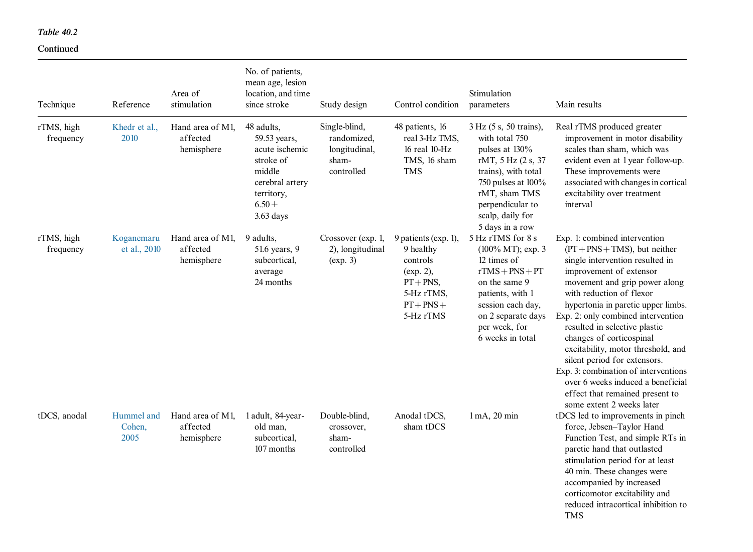### Continued

| Technique               | Reference                    | Area of<br>stimulation                     | No. of patients,<br>mean age, lesion<br>location, and time<br>since stroke                                                        | Study design                                                         | Control condition                                                                                                        | Stimulation<br>parameters                                                                                                                                                                                 | Main results                                                                                                                                                                                                                                                                                                                                                                                                                                                                                                                                             |
|-------------------------|------------------------------|--------------------------------------------|-----------------------------------------------------------------------------------------------------------------------------------|----------------------------------------------------------------------|--------------------------------------------------------------------------------------------------------------------------|-----------------------------------------------------------------------------------------------------------------------------------------------------------------------------------------------------------|----------------------------------------------------------------------------------------------------------------------------------------------------------------------------------------------------------------------------------------------------------------------------------------------------------------------------------------------------------------------------------------------------------------------------------------------------------------------------------------------------------------------------------------------------------|
| rTMS, high<br>frequency | Khedr et al.,<br>2010        | Hand area of M1,<br>affected<br>hemisphere | 48 adults,<br>59.53 years,<br>acute ischemic<br>stroke of<br>middle<br>cerebral artery<br>territory,<br>$6.50 \pm$<br>$3.63$ days | Single-blind,<br>randomized,<br>longitudinal,<br>sham-<br>controlled | 48 patients, 16<br>real 3-Hz TMS.<br>$16$ real $10-Hz$<br>TMS, 16 sham<br><b>TMS</b>                                     | 3 Hz (5 s, 50 trains),<br>with total 750<br>pulses at 130%<br>rMT, 5 Hz (2 s, 37<br>trains), with total<br>750 pulses at 100%<br>rMT, sham TMS<br>perpendicular to<br>scalp, daily for<br>5 days in a row | Real rTMS produced greater<br>improvement in motor disability<br>scales than sham, which was<br>evident even at 1 year follow-up.<br>These improvements were<br>associated with changes in cortical<br>excitability over treatment<br>interval                                                                                                                                                                                                                                                                                                           |
| rTMS, high<br>frequency | Koganemaru<br>et al., 2010   | Hand area of M1,<br>affected<br>hemisphere | 9 adults.<br>51.6 years, 9<br>subcortical,<br>average<br>24 months                                                                | Crossover (exp. 1,<br>2), longitudinal<br>(exp. 3)                   | 9 patients (exp. 1),<br>9 healthy<br>controls<br>$(exp. 2)$ ,<br>$PT + PNS$ ,<br>5-Hz rTMS,<br>$PT + PNS +$<br>5-Hz rTMS | 5 Hz rTMS for 8 s<br>(100% MT); exp. 3<br>12 times of<br>$rTMS + PNS + PT$<br>on the same 9<br>patients, with 1<br>session each day,<br>on 2 separate days<br>per week, for<br>6 weeks in total           | Exp. 1: combined intervention<br>$(PT + PNS + TMS)$ , but neither<br>single intervention resulted in<br>improvement of extensor<br>movement and grip power along<br>with reduction of flexor<br>hypertonia in paretic upper limbs.<br>Exp. 2: only combined intervention<br>resulted in selective plastic<br>changes of corticospinal<br>excitability, motor threshold, and<br>silent period for extensors.<br>Exp. 3: combination of interventions<br>over 6 weeks induced a beneficial<br>effect that remained present to<br>some extent 2 weeks later |
| tDCS, anodal            | Hummel and<br>Cohen,<br>2005 | Hand area of M1,<br>affected<br>hemisphere | 1 adult, 84-year-<br>old man.<br>subcortical,<br>107 months                                                                       | Double-blind,<br>crossover,<br>sham-<br>controlled                   | Anodal tDCS,<br>sham tDCS                                                                                                | $1 \text{ mA}$ , $20 \text{ min}$                                                                                                                                                                         | tDCS led to improvements in pinch<br>force, Jebsen-Taylor Hand<br>Function Test, and simple RTs in<br>paretic hand that outlasted<br>stimulation period for at least<br>40 min. These changes were<br>accompanied by increased<br>corticomotor excitability and<br>reduced intracortical inhibition to<br><b>TMS</b>                                                                                                                                                                                                                                     |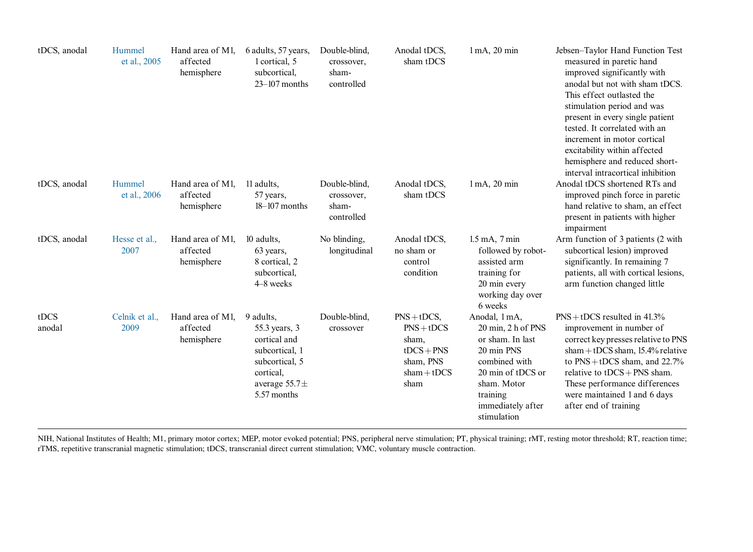| tDCS, anodal   | Hummel<br>et al., 2005 | Hand area of M1,<br>affected<br>hemisphere | 6 adults, 57 years,<br>1 cortical, 5<br>subcortical,<br>$23 - 107$ months                                                       | Double-blind,<br>crossover,<br>sham-<br>controlled | Anodal tDCS,<br>sham tDCS                                                                     | 1 mA, 20 min                                                                                                                                                               | Jebsen-Taylor Hand Function Test<br>measured in paretic hand<br>improved significantly with<br>anodal but not with sham tDCS.<br>This effect outlasted the<br>stimulation period and was<br>present in every single patient<br>tested. It correlated with an<br>increment in motor cortical<br>excitability within affected<br>hemisphere and reduced short-<br>interval intracortical inhibition |
|----------------|------------------------|--------------------------------------------|---------------------------------------------------------------------------------------------------------------------------------|----------------------------------------------------|-----------------------------------------------------------------------------------------------|----------------------------------------------------------------------------------------------------------------------------------------------------------------------------|---------------------------------------------------------------------------------------------------------------------------------------------------------------------------------------------------------------------------------------------------------------------------------------------------------------------------------------------------------------------------------------------------|
| tDCS, anodal   | Hummel<br>et al., 2006 | Hand area of M1,<br>affected<br>hemisphere | 11 adults,<br>57 years,<br>$18-107$ months                                                                                      | Double-blind,<br>crossover,<br>sham-<br>controlled | Anodal tDCS,<br>sham tDCS                                                                     | $1 \text{ mA}$ , $20 \text{ min}$                                                                                                                                          | Anodal tDCS shortened RTs and<br>improved pinch force in paretic<br>hand relative to sham, an effect<br>present in patients with higher<br>impairment                                                                                                                                                                                                                                             |
| tDCS, anodal   | Hesse et al.,<br>2007  | Hand area of M1,<br>affected<br>hemisphere | 10 adults,<br>63 years,<br>8 cortical, 2<br>subcortical,<br>4–8 weeks                                                           | No blinding,<br>longitudinal                       | Anodal tDCS,<br>no sham or<br>control<br>condition                                            | $1.5$ mA, $7$ min<br>followed by robot-<br>assisted arm<br>training for<br>20 min every<br>working day over<br>6 weeks                                                     | Arm function of 3 patients (2 with<br>subcortical lesion) improved<br>significantly. In remaining 7<br>patients, all with cortical lesions,<br>arm function changed little                                                                                                                                                                                                                        |
| tDCS<br>anodal | Celnik et al.,<br>2009 | Hand area of M1,<br>affected<br>hemisphere | 9 adults,<br>55.3 years, 3<br>cortical and<br>subcortical, 1<br>subcortical, 5<br>cortical,<br>average $55.7\pm$<br>5.57 months | Double-blind,<br>crossover                         | $PNS + tDCS$ ,<br>$PNS + tDCS$<br>sham,<br>$tDCS + PNS$<br>sham, PNS<br>$sham + tDCS$<br>sham | Anodal, 1 mA,<br>20 min, 2 h of PNS<br>or sham. In last<br>20 min PNS<br>combined with<br>20 min of tDCS or<br>sham. Motor<br>training<br>immediately after<br>stimulation | $PNS + tDCS$ resulted in 41.3%<br>improvement in number of<br>correct key presses relative to PNS<br>$sham + tDCS sham$ , 15.4% relative<br>to $PNS + tDCS$ sham, and $22.7%$<br>relative to $tDCS + PNS$ sham.<br>These performance differences<br>were maintained 1 and 6 days<br>after end of training                                                                                         |

NIH, National Institutes of Health; M1, primary motor cortex; MEP, motor evoked potential; PNS, peripheral nerve stimulation; PT, physical training; rMT, resting motor threshold; RT, reaction time; rTMS, repetitive transcranial magnetic stimulation; tDCS, transcranial direct current stimulation; VMC, voluntary muscle contraction.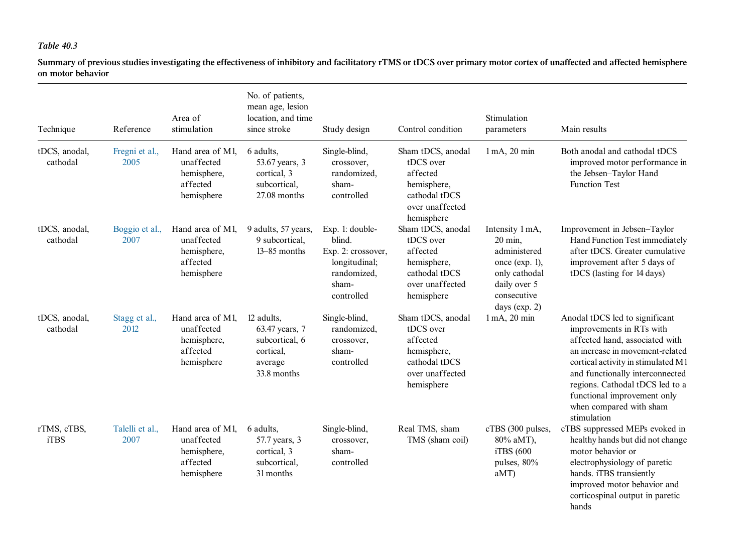Summary of previous studies investigating the effectiveness of inhibitory and facilitatory rTMS or tDCS over primary motor cortex of unaffected and affected hemisphere on motor behavior

| Technique                  | Reference               | Area of<br>stimulation                                                  | No. of patients,<br>mean age, lesion<br>location, and time<br>since stroke            | Study design                                                                                           | Control condition                                                                                           | Stimulation<br>parameters                                                                                                         | Main results                                                                                                                                                                                                                                                                                                         |
|----------------------------|-------------------------|-------------------------------------------------------------------------|---------------------------------------------------------------------------------------|--------------------------------------------------------------------------------------------------------|-------------------------------------------------------------------------------------------------------------|-----------------------------------------------------------------------------------------------------------------------------------|----------------------------------------------------------------------------------------------------------------------------------------------------------------------------------------------------------------------------------------------------------------------------------------------------------------------|
| tDCS, anodal,<br>cathodal  | Fregni et al.,<br>2005  | Hand area of M1,<br>unaffected<br>hemisphere,<br>affected<br>hemisphere | 6 adults.<br>53.67 years, 3<br>cortical, 3<br>subcortical,<br>27.08 months            | Single-blind,<br>crossover,<br>randomized,<br>sham-<br>controlled                                      | Sham tDCS, anodal<br>tDCS over<br>affected<br>hemisphere,<br>cathodal tDCS<br>over unaffected<br>hemisphere | $1 \text{ mA}$ , $20 \text{ min}$                                                                                                 | Both anodal and cathodal tDCS<br>improved motor performance in<br>the Jebsen-Taylor Hand<br><b>Function Test</b>                                                                                                                                                                                                     |
| tDCS, anodal,<br>cathodal  | Boggio et al.,<br>2007  | Hand area of M1,<br>unaffected<br>hemisphere,<br>affected<br>hemisphere | 9 adults, 57 years,<br>9 subcortical,<br>$13-85$ months                               | Exp. 1: double-<br>blind.<br>Exp. 2: crossover,<br>longitudinal;<br>randomized,<br>sham-<br>controlled | Sham tDCS, anodal<br>tDCS over<br>affected<br>hemisphere,<br>cathodal tDCS<br>over unaffected<br>hemisphere | Intensity 1 mA,<br>20 min,<br>administered<br>once ( $exp. 1$ ),<br>only cathodal<br>daily over 5<br>consecutive<br>days (exp. 2) | Improvement in Jebsen-Taylor<br>Hand Function Test immediately<br>after tDCS. Greater cumulative<br>improvement after 5 days of<br>tDCS (lasting for 14 days)                                                                                                                                                        |
| tDCS, anodal,<br>cathodal  | Stagg et al.,<br>2012   | Hand area of M1,<br>unaffected<br>hemisphere,<br>affected<br>hemisphere | 12 adults,<br>63.47 years, 7<br>subcortical, 6<br>cortical,<br>average<br>33.8 months | Single-blind,<br>randomized,<br>crossover,<br>sham-<br>controlled                                      | Sham tDCS, anodal<br>tDCS over<br>affected<br>hemisphere,<br>cathodal tDCS<br>over unaffected<br>hemisphere | 1 mA, 20 min                                                                                                                      | Anodal tDCS led to significant<br>improvements in RTs with<br>affected hand, associated with<br>an increase in movement-related<br>cortical activity in stimulated M1<br>and functionally interconnected<br>regions. Cathodal tDCS led to a<br>functional improvement only<br>when compared with sham<br>stimulation |
| rTMS, cTBS,<br><b>iTBS</b> | Talelli et al.,<br>2007 | Hand area of M1,<br>unaffected<br>hemisphere,<br>affected<br>hemisphere | 6 adults.<br>57.7 years, 3<br>cortical, 3<br>subcortical,<br>31 months                | Single-blind,<br>crossover,<br>sham-<br>controlled                                                     | Real TMS, sham<br>TMS (sham coil)                                                                           | cTBS (300 pulses,<br>80% aMT),<br>iTBS (600<br>pulses, 80%<br>aMT                                                                 | cTBS suppressed MEPs evoked in<br>healthy hands but did not change<br>motor behavior or<br>electrophysiology of paretic<br>hands. iTBS transiently<br>improved motor behavior and<br>corticospinal output in paretic<br>hands                                                                                        |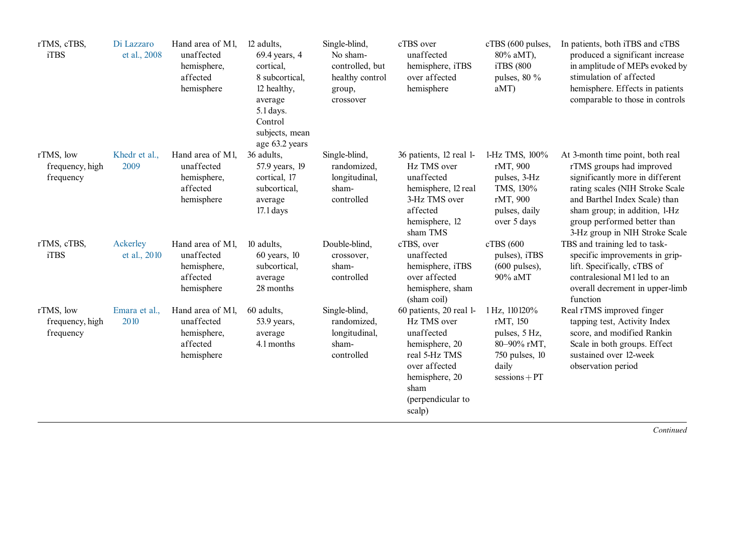| rTMS, cTBS,<br>iTBS                       | Di Lazzaro<br>et al., 2008 | Hand area of M1,<br>unaffected<br>hemisphere,<br>affected<br>hemisphere | 12 adults,<br>69.4 years, 4<br>cortical.<br>8 subcortical,<br>12 healthy,<br>average<br>$5.1$ days.<br>Control<br>subjects, mean<br>age 63.2 years | Single-blind,<br>No sham-<br>controlled, but<br>healthy control<br>group,<br>crossover | cTBS over<br>unaffected<br>hemisphere, iTBS<br>over affected<br>hemisphere                                                                                        | cTBS (600 pulses,<br>80% aMT),<br>iTBS (800)<br>pulses, $80\%$<br>aMT                                             | In patients, both iTBS and cTBS<br>produced a significant increase<br>in amplitude of MEPs evoked by<br>stimulation of affected<br>hemisphere. Effects in patients<br>comparable to those in controls                                                                 |
|-------------------------------------------|----------------------------|-------------------------------------------------------------------------|----------------------------------------------------------------------------------------------------------------------------------------------------|----------------------------------------------------------------------------------------|-------------------------------------------------------------------------------------------------------------------------------------------------------------------|-------------------------------------------------------------------------------------------------------------------|-----------------------------------------------------------------------------------------------------------------------------------------------------------------------------------------------------------------------------------------------------------------------|
| rTMS, low<br>frequency, high<br>frequency | Khedr et al.,<br>2009      | Hand area of M1,<br>unaffected<br>hemisphere,<br>affected<br>hemisphere | 36 adults,<br>57.9 years, 19<br>cortical, 17<br>subcortical,<br>average<br>$17.1$ days                                                             | Single-blind,<br>randomized,<br>longitudinal,<br>sham-<br>controlled                   | 36 patients, 12 real 1-<br>Hz TMS over<br>unaffected<br>hemisphere, 12 real<br>3-Hz TMS over<br>affected<br>hemisphere, 12<br>sham TMS                            | 1-Hz TMS, 100%<br>rMT, 900<br>pulses, 3-Hz<br>TMS, 130%<br>rMT, 900<br>pulses, daily<br>over 5 days               | At 3-month time point, both real<br>rTMS groups had improved<br>significantly more in different<br>rating scales (NIH Stroke Scale<br>and Barthel Index Scale) than<br>sham group; in addition, 1-Hz<br>group performed better than<br>3-Hz group in NIH Stroke Scale |
| rTMS, cTBS,<br>iTBS                       | Ackerley<br>et al., 2010   | Hand area of M1,<br>unaffected<br>hemisphere,<br>affected<br>hemisphere | 10 adults,<br>$60$ years, $10$<br>subcortical,<br>average<br>28 months                                                                             | Double-blind,<br>crossover,<br>sham-<br>controlled                                     | cTBS, over<br>unaffected<br>hemisphere, iTBS<br>over affected<br>hemisphere, sham<br>(sham coil)                                                                  | cTBS (600<br>pulses), iTBS<br>$(600 \text{ pulses})$ ,<br>90% aMT                                                 | TBS and training led to task-<br>specific improvements in grip-<br>lift. Specifically, cTBS of<br>contralesional M1 led to an<br>overall decrement in upper-limb<br>function                                                                                          |
| rTMS, low<br>frequency, high<br>frequency | Emara et al.,<br>2010      | Hand area of M1,<br>unaffected<br>hemisphere,<br>affected<br>hemisphere | 60 adults,<br>$53.9$ years,<br>average<br>4.1 months                                                                                               | Single-blind,<br>randomized,<br>longitudinal,<br>sham-<br>controlled                   | 60 patients, 20 real 1-<br>Hz TMS over<br>unaffected<br>hemisphere, 20<br>real 5-Hz TMS<br>over affected<br>hemisphere, 20<br>sham<br>(perpendicular to<br>scalp) | 1 Hz, 110120%<br>rMT, 150<br>pulses, 5 Hz,<br>80-90% rMT,<br>750 pulses, 10<br>daily<br>$s_{\text{essions}} + PT$ | Real rTMS improved finger<br>tapping test, Activity Index<br>score, and modified Rankin<br>Scale in both groups. Effect<br>sustained over 12-week<br>observation period                                                                                               |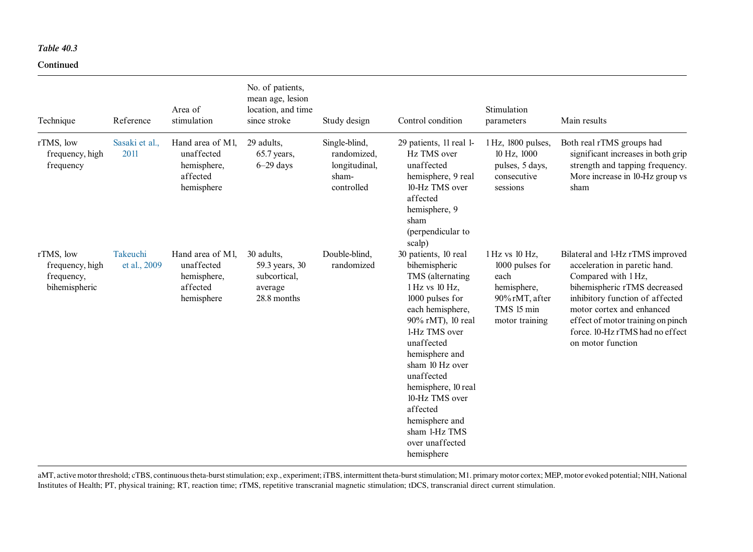#### Continued

| Technique                                                   | Reference                | Area of<br>stimulation                                                  | No. of patients,<br>mean age, lesion<br>location, and time<br>since stroke | Study design                                                         | Control condition                                                                                                                                                                                                                                                                                                                                  | Stimulation<br>parameters                                                                                  | Main results                                                                                                                                                                                                                                                                          |
|-------------------------------------------------------------|--------------------------|-------------------------------------------------------------------------|----------------------------------------------------------------------------|----------------------------------------------------------------------|----------------------------------------------------------------------------------------------------------------------------------------------------------------------------------------------------------------------------------------------------------------------------------------------------------------------------------------------------|------------------------------------------------------------------------------------------------------------|---------------------------------------------------------------------------------------------------------------------------------------------------------------------------------------------------------------------------------------------------------------------------------------|
| rTMS, low<br>frequency, high<br>frequency                   | Sasaki et al.,<br>2011   | Hand area of M1.<br>unaffected<br>hemisphere,<br>affected<br>hemisphere | 29 adults.<br>$65.7$ years,<br>$6-29$ days                                 | Single-blind,<br>randomized,<br>longitudinal,<br>sham-<br>controlled | 29 patients, 11 real 1-<br>Hz TMS over<br>unaffected<br>hemisphere, 9 real<br>10-Hz TMS over<br>affected<br>hemisphere, 9<br>sham<br>(perpendicular to<br>scalp)                                                                                                                                                                                   | 1 Hz, 1800 pulses,<br>10 Hz, 1000<br>pulses, 5 days,<br>consecutive<br>sessions                            | Both real rTMS groups had<br>significant increases in both grip<br>strength and tapping frequency.<br>More increase in 10-Hz group vs<br>sham                                                                                                                                         |
| rTMS, low<br>frequency, high<br>frequency,<br>bihemispheric | Takeuchi<br>et al., 2009 | Hand area of M1,<br>unaffected<br>hemisphere,<br>affected<br>hemisphere | 30 adults,<br>59.3 years, 30<br>subcortical,<br>average<br>28.8 months     | Double-blind,<br>randomized                                          | 30 patients, 10 real<br>bihemispheric<br>TMS (alternating<br>1 Hz vs 10 Hz,<br>1000 pulses for<br>each hemisphere,<br>90% rMT), 10 real<br>1-Hz TMS over<br>unaffected<br>hemisphere and<br>sham 10 Hz over<br>unaffected<br>hemisphere, 10 real<br>10-Hz TMS over<br>affected<br>hemisphere and<br>sham 1-Hz TMS<br>over unaffected<br>hemisphere | 1 Hz vs 10 Hz,<br>1000 pulses for<br>each<br>hemisphere,<br>90% rMT, after<br>TMS 15 min<br>motor training | Bilateral and 1-Hz rTMS improved<br>acceleration in paretic hand.<br>Compared with 1 Hz,<br>bihemispheric rTMS decreased<br>inhibitory function of affected<br>motor cortex and enhanced<br>effect of motor training on pinch<br>force. 10-Hz rTMS had no effect<br>on motor function |

aMT, active motor threshold; cTBS, continuous theta-burst stimulation; exp., experiment; iTBS, intermittent theta-burst stimulation; M1. primary motor cortex; MEP, motor evoked potential; NIH, National Institutes of Health; PT, physical training; RT, reaction time; rTMS, repetitive transcranial magnetic stimulation; tDCS, transcranial direct current stimulation.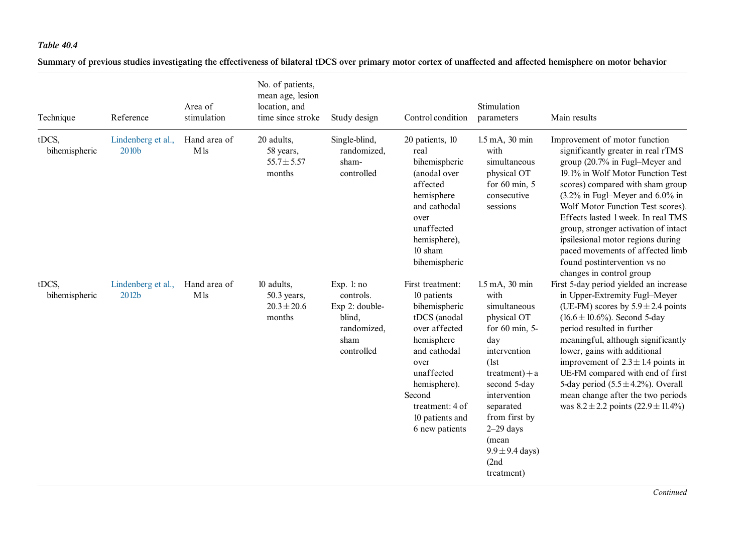<span id="page-18-0"></span>Summary of previous studies investigating the effectiveness of bilateral tDCS over primary motor cortex of unaffected and affected hemisphere on motor behavior

| Technique              | Reference                   | Area of<br>stimulation | No. of patients,<br>mean age, lesion<br>location, and<br>time since stroke | Study design                                                                              | Control condition                                                                                                                                                                                                       | Stimulation<br>parameters                                                                                                                                                                                                                                                  | Main results                                                                                                                                                                                                                                                                                                                                                                                                                                                                    |
|------------------------|-----------------------------|------------------------|----------------------------------------------------------------------------|-------------------------------------------------------------------------------------------|-------------------------------------------------------------------------------------------------------------------------------------------------------------------------------------------------------------------------|----------------------------------------------------------------------------------------------------------------------------------------------------------------------------------------------------------------------------------------------------------------------------|---------------------------------------------------------------------------------------------------------------------------------------------------------------------------------------------------------------------------------------------------------------------------------------------------------------------------------------------------------------------------------------------------------------------------------------------------------------------------------|
| tDCS,<br>bihemispheric | Lindenberg et al.,<br>2010b | Hand area of<br>M1s    | 20 adults,<br>58 years,<br>$55.7 \pm 5.57$<br>months                       | Single-blind,<br>randomized,<br>sham-<br>controlled                                       | 20 patients, 10<br>real<br>bihemispheric<br>(anodal over<br>affected<br>hemisphere<br>and cathodal<br>over<br>unaffected<br>hemisphere),<br>10 sham<br>bihemispheric                                                    | 1.5 mA, 30 min<br>with<br>simultaneous<br>physical OT<br>for $60 \text{ min}$ , $5$<br>consecutive<br>sessions                                                                                                                                                             | Improvement of motor function<br>significantly greater in real rTMS<br>group (20.7% in Fugl-Meyer and<br>19.1% in Wolf Motor Function Test<br>scores) compared with sham group<br>$(3.2\%$ in Fugl-Meyer and $6.0\%$ in<br>Wolf Motor Function Test scores).<br>Effects lasted 1 week. In real TMS<br>group, stronger activation of intact<br>ipsilesional motor regions during<br>paced movements of affected limb<br>found postintervention vs no<br>changes in control group |
| tDCS.<br>bihemispheric | Lindenberg et al.,<br>2012b | Hand area of<br>M1s    | 10 adults,<br>50.3 years,<br>$20.3 \pm 20.6$<br>months                     | Exp. $l:no$<br>controls.<br>Exp 2: double-<br>blind,<br>randomized,<br>sham<br>controlled | First treatment:<br>10 patients<br>bihemispheric<br>tDCS (anodal<br>over affected<br>hemisphere<br>and cathodal<br>over<br>unaffected<br>hemisphere).<br>Second<br>treatment: 4 of<br>10 patients and<br>6 new patients | 1.5 mA, 30 min<br>with<br>simultaneous<br>physical OT<br>for $60 \text{ min}$ , 5-<br>day<br>intervention<br>(1st)<br>$treatment) + a$<br>second 5-day<br>intervention<br>separated<br>from first by<br>$2-29$ days<br>(mean<br>$9.9 \pm 9.4$ days)<br>(2nd)<br>treatment) | First 5-day period yielded an increase<br>in Upper-Extremity Fugl-Meyer<br>(UE-FM) scores by $5.9 \pm 2.4$ points<br>$(16.6 \pm 10.6\%)$ . Second 5-day<br>period resulted in further<br>meaningful, although significantly<br>lower, gains with additional<br>improvement of $2.3 \pm 1.4$ points in<br>UE-FM compared with end of first<br>5-day period $(5.5 \pm 4.2\%)$ . Overall<br>mean change after the two periods<br>was $8.2 \pm 2.2$ points $(22.9 \pm 11.4\%)$      |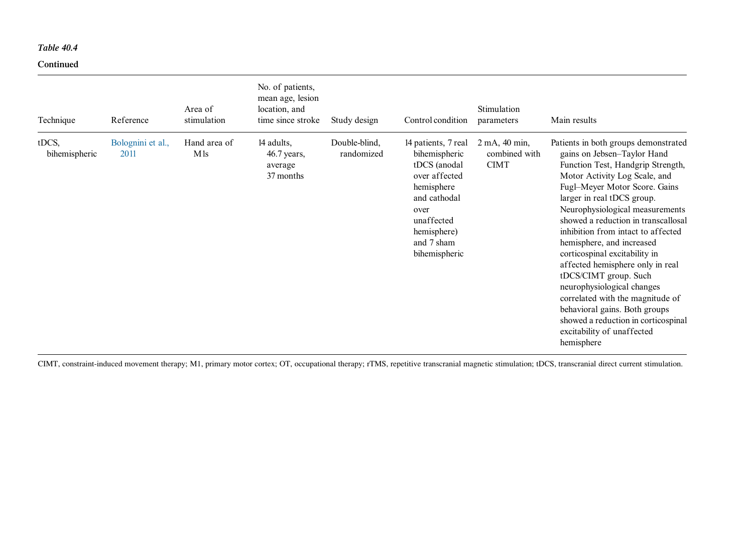#### Continued

| Technique              | Reference                 | Area of<br>stimulation | No. of patients,<br>mean age, lesion<br>location, and<br>time since stroke | Study design                | Control condition                                                                                                                                                       | Stimulation<br>parameters                     | Main results                                                                                                                                                                                                                                                                                                                                                                                                                                                                                                                                                                                                                              |
|------------------------|---------------------------|------------------------|----------------------------------------------------------------------------|-----------------------------|-------------------------------------------------------------------------------------------------------------------------------------------------------------------------|-----------------------------------------------|-------------------------------------------------------------------------------------------------------------------------------------------------------------------------------------------------------------------------------------------------------------------------------------------------------------------------------------------------------------------------------------------------------------------------------------------------------------------------------------------------------------------------------------------------------------------------------------------------------------------------------------------|
| tDCS,<br>bihemispheric | Bolognini et al.,<br>2011 | Hand area of<br>M ls   | 14 adults,<br>$46.7$ years,<br>average<br>37 months                        | Double-blind,<br>randomized | 14 patients, 7 real<br>bihemispheric<br>tDCS (anodal<br>over affected<br>hemisphere<br>and cathodal<br>over<br>unaffected<br>hemisphere)<br>and 7 sham<br>bihemispheric | 2 mA, 40 min,<br>combined with<br><b>CIMT</b> | Patients in both groups demonstrated<br>gains on Jebsen-Taylor Hand<br>Function Test, Handgrip Strength,<br>Motor Activity Log Scale, and<br>Fugl-Meyer Motor Score. Gains<br>larger in real tDCS group.<br>Neurophysiological measurements<br>showed a reduction in transcallosal<br>inhibition from intact to affected<br>hemisphere, and increased<br>corticospinal excitability in<br>affected hemisphere only in real<br>tDCS/CIMT group. Such<br>neurophysiological changes<br>correlated with the magnitude of<br>behavioral gains. Both groups<br>showed a reduction in corticospinal<br>excitability of unaffected<br>hemisphere |

CIMT, constraint-induced movement therapy; M1, primary motor cortex; OT, occupational therapy; rTMS, repetitive transcranial magnetic stimulation; tDCS, transcranial direct current stimulation.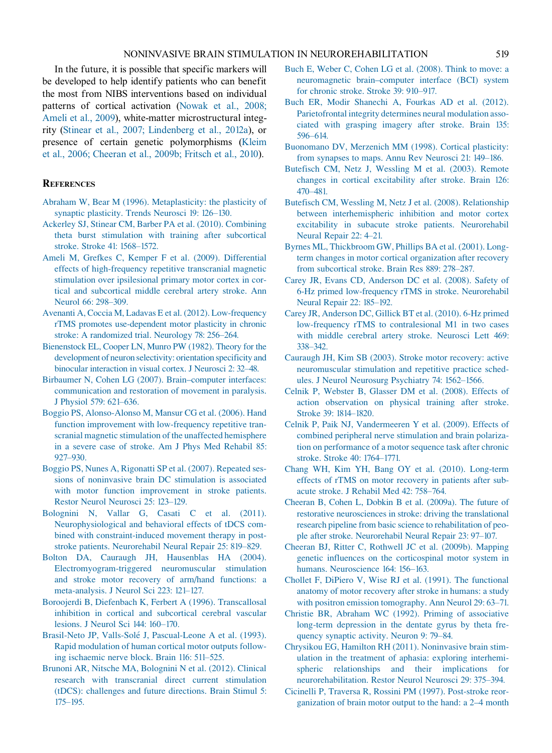<span id="page-20-0"></span>In the future, it is possible that specific markers will be developed to help identify patients who can benefit the most from NIBS interventions based on individual patterns of cortical activation ([Nowak et al., 2008;](#page-23-0) Ameli et [al., 2009](#page-23-0)), white-matter microstructural integrity (Stinear [et al., 2007; Lindenberg et al., 2012a\)](#page-24-0), or presence of certain genetic polymorphisms ([Kleim](#page-22-0) et al., [2006; Cheeran et al., 2009b; Fritsch et al., 2010\)](#page-22-0).

### **REFERENCES**

- [Abraham W, Bear M \(1996\). Metaplasticity: the plasticity of](http://refhub.elsevier.com/B978-0-444-53497-2.00040-1/rf0005) [synaptic plasticity. Trends Neurosci](http://refhub.elsevier.com/B978-0-444-53497-2.00040-1/rf0005) 19: 126–130.
- [Ackerley SJ, Stinear CM, Barber PA et al. \(2010\). Combining](http://refhub.elsevier.com/B978-0-444-53497-2.00040-1/rf0010) [theta burst stimulation with training after subcortical](http://refhub.elsevier.com/B978-0-444-53497-2.00040-1/rf0010) [stroke. Stroke](http://refhub.elsevier.com/B978-0-444-53497-2.00040-1/rf0010) 41: 1568–1572.
- [Ameli M, Grefkes C, Kemper F et al. \(2009\). Differential](http://refhub.elsevier.com/B978-0-444-53497-2.00040-1/rf0015) [effects of high-frequency repetitive transcranial magnetic](http://refhub.elsevier.com/B978-0-444-53497-2.00040-1/rf0015) [stimulation over ipsilesional primary motor cortex in cor](http://refhub.elsevier.com/B978-0-444-53497-2.00040-1/rf0015)[tical and subcortical middle cerebral artery stroke. Ann](http://refhub.elsevier.com/B978-0-444-53497-2.00040-1/rf0015) Neurol [66: 298–309.](http://refhub.elsevier.com/B978-0-444-53497-2.00040-1/rf0015)
- [Avenanti A, Coccia M, Ladavas E et al. \(2012\). Low-frequency](http://refhub.elsevier.com/B978-0-444-53497-2.00040-1/rf0020) [rTMS promotes use-dependent motor plasticity in chronic](http://refhub.elsevier.com/B978-0-444-53497-2.00040-1/rf0020) [stroke: A randomized trial. Neurology](http://refhub.elsevier.com/B978-0-444-53497-2.00040-1/rf0020) 78: 256–264.
- [Bienenstock EL, Cooper LN, Munro PW \(1982\). Theory for the](http://refhub.elsevier.com/B978-0-444-53497-2.00040-1/rf0025) [development of neuron selectivity: orientation specificity and](http://refhub.elsevier.com/B978-0-444-53497-2.00040-1/rf0025) [binocular interaction in visual cortex. J Neurosci](http://refhub.elsevier.com/B978-0-444-53497-2.00040-1/rf0025) 2: 32–48.
- [Birbaumer N, Cohen LG \(2007\). Brain–computer interfaces:](http://refhub.elsevier.com/B978-0-444-53497-2.00040-1/rf0030) [communication and restoration of movement in paralysis.](http://refhub.elsevier.com/B978-0-444-53497-2.00040-1/rf0030) J Physiol [579: 621–636.](http://refhub.elsevier.com/B978-0-444-53497-2.00040-1/rf0030)
- [Boggio PS, Alonso-Alonso M, Mansur CG et al. \(2006\). Hand](http://refhub.elsevier.com/B978-0-444-53497-2.00040-1/rf0035) [function improvement with low-frequency repetitive tran](http://refhub.elsevier.com/B978-0-444-53497-2.00040-1/rf0035)[scranial magnetic stimulation of the unaffected hemisphere](http://refhub.elsevier.com/B978-0-444-53497-2.00040-1/rf0035) [in a severe case of stroke. Am J Phys Med Rehabil](http://refhub.elsevier.com/B978-0-444-53497-2.00040-1/rf0035) 85: [927–930.](http://refhub.elsevier.com/B978-0-444-53497-2.00040-1/rf0035)
- [Boggio PS, Nunes A, Rigonatti SP et al. \(2007\). Repeated ses](http://refhub.elsevier.com/B978-0-444-53497-2.00040-1/rf0040)[sions of noninvasive brain DC stimulation is associated](http://refhub.elsevier.com/B978-0-444-53497-2.00040-1/rf0040) [with motor function improvement in stroke patients.](http://refhub.elsevier.com/B978-0-444-53497-2.00040-1/rf0040) [Restor Neurol Neurosci](http://refhub.elsevier.com/B978-0-444-53497-2.00040-1/rf0040) 25: 123–129.
- [Bolognini N, Vallar G, Casati C et al. \(2011\).](http://refhub.elsevier.com/B978-0-444-53497-2.00040-1/rf0045) [Neurophysiological and behavioral effects of tDCS com](http://refhub.elsevier.com/B978-0-444-53497-2.00040-1/rf0045)[bined with constraint-induced movement therapy in post](http://refhub.elsevier.com/B978-0-444-53497-2.00040-1/rf0045)[stroke patients. Neurorehabil Neural Repair](http://refhub.elsevier.com/B978-0-444-53497-2.00040-1/rf0045) 25: 819–829.
- [Bolton DA, Cauraugh JH, Hausenblas HA \(2004\).](http://refhub.elsevier.com/B978-0-444-53497-2.00040-1/rf0050) [Electromyogram-triggered neuromuscular stimulation](http://refhub.elsevier.com/B978-0-444-53497-2.00040-1/rf0050) [and stroke motor recovery of arm/hand functions: a](http://refhub.elsevier.com/B978-0-444-53497-2.00040-1/rf0050) [meta-analysis. J Neurol Sci](http://refhub.elsevier.com/B978-0-444-53497-2.00040-1/rf0050) 223: 121–127.
- [Boroojerdi B, Diefenbach K, Ferbert A \(1996\). Transcallosal](http://refhub.elsevier.com/B978-0-444-53497-2.00040-1/rf0055) [inhibition in cortical and subcortical cerebral vascular](http://refhub.elsevier.com/B978-0-444-53497-2.00040-1/rf0055) [lesions. J Neurol Sci](http://refhub.elsevier.com/B978-0-444-53497-2.00040-1/rf0055) 144: 160–170.
- Brasil-Neto JP, Valls-Solé [J, Pascual-Leone A et al. \(1993\).](http://refhub.elsevier.com/B978-0-444-53497-2.00040-1/rf0060) [Rapid modulation of human cortical motor outputs follow](http://refhub.elsevier.com/B978-0-444-53497-2.00040-1/rf0060)[ing ischaemic nerve block. Brain](http://refhub.elsevier.com/B978-0-444-53497-2.00040-1/rf0060) 116: 511–525.
- [Brunoni AR, Nitsche MA, Bolognini N et al. \(2012\). Clinical](http://refhub.elsevier.com/B978-0-444-53497-2.00040-1/rf0065) [research with transcranial direct current stimulation](http://refhub.elsevier.com/B978-0-444-53497-2.00040-1/rf0065) [\(tDCS\): challenges and future directions. Brain Stimul](http://refhub.elsevier.com/B978-0-444-53497-2.00040-1/rf0065) 5: [175–195.](http://refhub.elsevier.com/B978-0-444-53497-2.00040-1/rf0065)
- [Buch E, Weber C, Cohen LG et al. \(2008\). Think to move: a](http://refhub.elsevier.com/B978-0-444-53497-2.00040-1/rf0070) [neuromagnetic brain–computer interface \(BCI\) system](http://refhub.elsevier.com/B978-0-444-53497-2.00040-1/rf0070) [for chronic stroke. Stroke](http://refhub.elsevier.com/B978-0-444-53497-2.00040-1/rf0070) 39: 910–917.
- [Buch ER, Modir Shanechi A, Fourkas AD et al. \(2012\).](http://refhub.elsevier.com/B978-0-444-53497-2.00040-1/rf0075) [Parietofrontal integrity determines neural modulation asso](http://refhub.elsevier.com/B978-0-444-53497-2.00040-1/rf0075)[ciated with grasping imagery after stroke. Brain](http://refhub.elsevier.com/B978-0-444-53497-2.00040-1/rf0075) 135: [596–614.](http://refhub.elsevier.com/B978-0-444-53497-2.00040-1/rf0075)
- [Buonomano DV, Merzenich MM \(1998\). Cortical plasticity:](http://refhub.elsevier.com/B978-0-444-53497-2.00040-1/rf0080) [from synapses to maps. Annu Rev Neurosci](http://refhub.elsevier.com/B978-0-444-53497-2.00040-1/rf0080) 21: 149–186.
- [Butefisch CM, Netz J, Wessling M et al. \(2003\). Remote](http://refhub.elsevier.com/B978-0-444-53497-2.00040-1/rf0085) [changes in cortical excitability after stroke. Brain](http://refhub.elsevier.com/B978-0-444-53497-2.00040-1/rf0085) 126: [470–481.](http://refhub.elsevier.com/B978-0-444-53497-2.00040-1/rf0085)
- [Butefisch CM, Wessling M, Netz J et al. \(2008\). Relationship](http://refhub.elsevier.com/B978-0-444-53497-2.00040-1/rf0090) [between interhemispheric inhibition and motor cortex](http://refhub.elsevier.com/B978-0-444-53497-2.00040-1/rf0090) [excitability in subacute stroke patients. Neurorehabil](http://refhub.elsevier.com/B978-0-444-53497-2.00040-1/rf0090) [Neural Repair](http://refhub.elsevier.com/B978-0-444-53497-2.00040-1/rf0090) 22: 4–21.
- [Byrnes ML, Thickbroom GW, Phillips BA et al. \(2001\). Long](http://refhub.elsevier.com/B978-0-444-53497-2.00040-1/rf0095)[term changes in motor cortical organization after recovery](http://refhub.elsevier.com/B978-0-444-53497-2.00040-1/rf0095) [from subcortical stroke. Brain Res](http://refhub.elsevier.com/B978-0-444-53497-2.00040-1/rf0095) 889: 278–287.
- [Carey JR, Evans CD, Anderson DC et al. \(2008\). Safety of](http://refhub.elsevier.com/B978-0-444-53497-2.00040-1/rf0100) [6-Hz primed low-frequency rTMS in stroke. Neurorehabil](http://refhub.elsevier.com/B978-0-444-53497-2.00040-1/rf0100) [Neural Repair](http://refhub.elsevier.com/B978-0-444-53497-2.00040-1/rf0100) 22: 185–192.
- [Carey JR, Anderson DC, Gillick BT et al. \(2010\). 6-Hz primed](http://refhub.elsevier.com/B978-0-444-53497-2.00040-1/rf0105) [low-frequency rTMS to contralesional M1 in two cases](http://refhub.elsevier.com/B978-0-444-53497-2.00040-1/rf0105) [with middle cerebral artery stroke. Neurosci Lett](http://refhub.elsevier.com/B978-0-444-53497-2.00040-1/rf0105) 469: [338–342.](http://refhub.elsevier.com/B978-0-444-53497-2.00040-1/rf0105)
- [Cauraugh JH, Kim SB \(2003\). Stroke motor recovery: active](http://refhub.elsevier.com/B978-0-444-53497-2.00040-1/rf0110) [neuromuscular stimulation and repetitive practice sched](http://refhub.elsevier.com/B978-0-444-53497-2.00040-1/rf0110)[ules. J Neurol Neurosurg Psychiatry](http://refhub.elsevier.com/B978-0-444-53497-2.00040-1/rf0110) 74: 1562–1566.
- [Celnik P, Webster B, Glasser DM et al. \(2008\). Effects of](http://refhub.elsevier.com/B978-0-444-53497-2.00040-1/rf0115) [action observation on physical training after stroke.](http://refhub.elsevier.com/B978-0-444-53497-2.00040-1/rf0115) Stroke [39: 1814–1820.](http://refhub.elsevier.com/B978-0-444-53497-2.00040-1/rf0115)
- [Celnik P, Paik NJ, Vandermeeren Y et al. \(2009\). Effects of](http://refhub.elsevier.com/B978-0-444-53497-2.00040-1/rf0120) [combined peripheral nerve stimulation and brain polariza](http://refhub.elsevier.com/B978-0-444-53497-2.00040-1/rf0120)[tion on performance of a motor sequence task after chronic](http://refhub.elsevier.com/B978-0-444-53497-2.00040-1/rf0120) [stroke. Stroke](http://refhub.elsevier.com/B978-0-444-53497-2.00040-1/rf0120) 40: 1764–1771.
- [Chang WH, Kim YH, Bang OY et al. \(2010\). Long-term](http://refhub.elsevier.com/B978-0-444-53497-2.00040-1/rf0125) [effects of rTMS on motor recovery in patients after sub](http://refhub.elsevier.com/B978-0-444-53497-2.00040-1/rf0125)[acute stroke. J Rehabil Med](http://refhub.elsevier.com/B978-0-444-53497-2.00040-1/rf0125) 42: 758–764.
- [Cheeran B, Cohen L, Dobkin B et al. \(2009a\). The future of](http://refhub.elsevier.com/B978-0-444-53497-2.00040-1/rf0130) [restorative neurosciences in stroke: driving the translational](http://refhub.elsevier.com/B978-0-444-53497-2.00040-1/rf0130) [research pipeline from basic science to rehabilitation of peo](http://refhub.elsevier.com/B978-0-444-53497-2.00040-1/rf0130)[ple after stroke. Neurorehabil Neural Repair](http://refhub.elsevier.com/B978-0-444-53497-2.00040-1/rf0130) 23: 97–107.
- [Cheeran BJ, Ritter C, Rothwell JC et al. \(2009b\). Mapping](http://refhub.elsevier.com/B978-0-444-53497-2.00040-1/rf0135) [genetic influences on the corticospinal motor system in](http://refhub.elsevier.com/B978-0-444-53497-2.00040-1/rf0135) [humans. Neuroscience](http://refhub.elsevier.com/B978-0-444-53497-2.00040-1/rf0135) 164: 156–163.
- [Chollet F, DiPiero V, Wise RJ et al. \(1991\). The functional](http://refhub.elsevier.com/B978-0-444-53497-2.00040-1/rf0140) [anatomy of motor recovery after stroke in humans: a study](http://refhub.elsevier.com/B978-0-444-53497-2.00040-1/rf0140) [with positron emission tomography. Ann Neurol](http://refhub.elsevier.com/B978-0-444-53497-2.00040-1/rf0140) 29: 63–71.
- [Christie BR, Abraham WC \(1992\). Priming of associative](http://refhub.elsevier.com/B978-0-444-53497-2.00040-1/rf0145) [long-term depression in the dentate gyrus by theta fre](http://refhub.elsevier.com/B978-0-444-53497-2.00040-1/rf0145)[quency synaptic activity. Neuron](http://refhub.elsevier.com/B978-0-444-53497-2.00040-1/rf0145) 9: 79–84.
- [Chrysikou EG, Hamilton RH \(2011\). Noninvasive brain stim](http://refhub.elsevier.com/B978-0-444-53497-2.00040-1/rf0150)[ulation in the treatment of aphasia: exploring interhemi](http://refhub.elsevier.com/B978-0-444-53497-2.00040-1/rf0150)[spheric relationships and their implications for](http://refhub.elsevier.com/B978-0-444-53497-2.00040-1/rf0150) [neurorehabilitation. Restor Neurol Neurosci](http://refhub.elsevier.com/B978-0-444-53497-2.00040-1/rf0150) 29: 375–394.
- [Cicinelli P, Traversa R, Rossini PM \(1997\). Post-stroke reor](http://refhub.elsevier.com/B978-0-444-53497-2.00040-1/rf0155)[ganization of brain motor output to the hand: a 2–4 month](http://refhub.elsevier.com/B978-0-444-53497-2.00040-1/rf0155)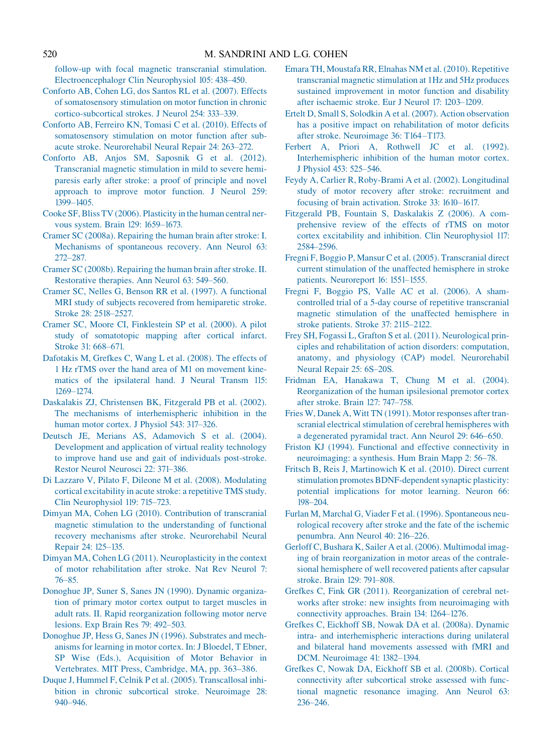<span id="page-21-0"></span>[follow-up with focal magnetic transcranial stimulation.](http://refhub.elsevier.com/B978-0-444-53497-2.00040-1/rf0155) [Electroencephalogr Clin Neurophysiol](http://refhub.elsevier.com/B978-0-444-53497-2.00040-1/rf0155) 105: 438–450.

- [Conforto AB, Cohen LG, dos Santos RL et al. \(2007\). Effects](http://refhub.elsevier.com/B978-0-444-53497-2.00040-1/rf0160) [of somatosensory stimulation on motor function in chronic](http://refhub.elsevier.com/B978-0-444-53497-2.00040-1/rf0160) [cortico-subcortical strokes. J Neurol](http://refhub.elsevier.com/B978-0-444-53497-2.00040-1/rf0160) 254: 333–339.
- [Conforto AB, Ferreiro KN, Tomasi C et al. \(2010\). Effects of](http://refhub.elsevier.com/B978-0-444-53497-2.00040-1/rf0165) [somatosensory stimulation on motor function after sub](http://refhub.elsevier.com/B978-0-444-53497-2.00040-1/rf0165)[acute stroke. Neurorehabil Neural Repair](http://refhub.elsevier.com/B978-0-444-53497-2.00040-1/rf0165) 24: 263–272.
- [Conforto AB, Anjos SM, Saposnik G et al. \(2012\).](http://refhub.elsevier.com/B978-0-444-53497-2.00040-1/rf0170) [Transcranial magnetic stimulation in mild to severe hemi](http://refhub.elsevier.com/B978-0-444-53497-2.00040-1/rf0170)[paresis early after stroke: a proof of principle and novel](http://refhub.elsevier.com/B978-0-444-53497-2.00040-1/rf0170) [approach to improve motor function. J Neurol](http://refhub.elsevier.com/B978-0-444-53497-2.00040-1/rf0170) 259: [1399–1405.](http://refhub.elsevier.com/B978-0-444-53497-2.00040-1/rf0170)
- [Cooke SF, Bliss TV \(2006\). Plasticity in the human central ner](http://refhub.elsevier.com/B978-0-444-53497-2.00040-1/rf0175)[vous system. Brain](http://refhub.elsevier.com/B978-0-444-53497-2.00040-1/rf0175) 129: 1659–1673.
- [Cramer SC \(2008a\). Repairing the human brain after stroke: I.](http://refhub.elsevier.com/B978-0-444-53497-2.00040-1/rf0180) [Mechanisms of spontaneous recovery. Ann Neurol](http://refhub.elsevier.com/B978-0-444-53497-2.00040-1/rf0180) 63: [272–287.](http://refhub.elsevier.com/B978-0-444-53497-2.00040-1/rf0180)
- [Cramer SC \(2008b\). Repairing the human brain after stroke. II.](http://refhub.elsevier.com/B978-0-444-53497-2.00040-1/rf0185) [Restorative therapies. Ann Neurol](http://refhub.elsevier.com/B978-0-444-53497-2.00040-1/rf0185) 63: 549–560.
- [Cramer SC, Nelles G, Benson RR et al. \(1997\). A functional](http://refhub.elsevier.com/B978-0-444-53497-2.00040-1/rf0190) [MRI study of subjects recovered from hemiparetic stroke.](http://refhub.elsevier.com/B978-0-444-53497-2.00040-1/rf0190) Stroke [28: 2518–2527.](http://refhub.elsevier.com/B978-0-444-53497-2.00040-1/rf0190)
- [Cramer SC, Moore CI, Finklestein SP et al. \(2000\). A pilot](http://refhub.elsevier.com/B978-0-444-53497-2.00040-1/rf0195) [study of somatotopic mapping after cortical infarct.](http://refhub.elsevier.com/B978-0-444-53497-2.00040-1/rf0195) Stroke [31: 668–671.](http://refhub.elsevier.com/B978-0-444-53497-2.00040-1/rf0195)
- [Dafotakis M, Grefkes C, Wang L et al. \(2008\). The effects of](http://refhub.elsevier.com/B978-0-444-53497-2.00040-1/rf0200) [1 Hz rTMS over the hand area of M1 on movement kine](http://refhub.elsevier.com/B978-0-444-53497-2.00040-1/rf0200)[matics of the ipsilateral hand. J Neural Transm](http://refhub.elsevier.com/B978-0-444-53497-2.00040-1/rf0200) 115: [1269–1274.](http://refhub.elsevier.com/B978-0-444-53497-2.00040-1/rf0200)
- [Daskalakis ZJ, Christensen BK, Fitzgerald PB et al. \(2002\).](http://refhub.elsevier.com/B978-0-444-53497-2.00040-1/rf0205) [The mechanisms of interhemispheric inhibition in the](http://refhub.elsevier.com/B978-0-444-53497-2.00040-1/rf0205) [human motor cortex. J Physiol](http://refhub.elsevier.com/B978-0-444-53497-2.00040-1/rf0205) 543: 317–326.
- [Deutsch JE, Merians AS, Adamovich S et al. \(2004\).](http://refhub.elsevier.com/B978-0-444-53497-2.00040-1/rf0210) [Development and application of virtual reality technology](http://refhub.elsevier.com/B978-0-444-53497-2.00040-1/rf0210) [to improve hand use and gait of individuals post-stroke.](http://refhub.elsevier.com/B978-0-444-53497-2.00040-1/rf0210) [Restor Neurol Neurosci](http://refhub.elsevier.com/B978-0-444-53497-2.00040-1/rf0210) 22: 371-386.
- [Di Lazzaro V, Pilato F, Dileone M et al. \(2008\). Modulating](http://refhub.elsevier.com/B978-0-444-53497-2.00040-1/rf0215) [cortical excitability in acute stroke: a repetitive TMS study.](http://refhub.elsevier.com/B978-0-444-53497-2.00040-1/rf0215) [Clin Neurophysiol](http://refhub.elsevier.com/B978-0-444-53497-2.00040-1/rf0215) 119: 715–723.
- [Dimyan MA, Cohen LG \(2010\). Contribution of transcranial](http://refhub.elsevier.com/B978-0-444-53497-2.00040-1/rf0220) [magnetic stimulation to the understanding of functional](http://refhub.elsevier.com/B978-0-444-53497-2.00040-1/rf0220) [recovery mechanisms after stroke. Neurorehabil Neural](http://refhub.elsevier.com/B978-0-444-53497-2.00040-1/rf0220) Repair [24: 125–135.](http://refhub.elsevier.com/B978-0-444-53497-2.00040-1/rf0220)
- [Dimyan MA, Cohen LG \(2011\). Neuroplasticity in the context](http://refhub.elsevier.com/B978-0-444-53497-2.00040-1/rf0225) [of motor rehabilitation after stroke. Nat Rev Neurol](http://refhub.elsevier.com/B978-0-444-53497-2.00040-1/rf0225) 7: [76–85.](http://refhub.elsevier.com/B978-0-444-53497-2.00040-1/rf0225)
- [Donoghue JP, Suner S, Sanes JN \(1990\). Dynamic organiza](http://refhub.elsevier.com/B978-0-444-53497-2.00040-1/rf0230)[tion of primary motor cortex output to target muscles in](http://refhub.elsevier.com/B978-0-444-53497-2.00040-1/rf0230) [adult rats. II. Rapid reorganization following motor nerve](http://refhub.elsevier.com/B978-0-444-53497-2.00040-1/rf0230) [lesions. Exp Brain Res](http://refhub.elsevier.com/B978-0-444-53497-2.00040-1/rf0230) 79: 492–503.
- [Donoghue JP, Hess G, Sanes JN \(1996\). Substrates and mech](http://refhub.elsevier.com/B978-0-444-53497-2.00040-1/rf0235)[anisms for learning in motor cortex. In: J Bloedel, T Ebner,](http://refhub.elsevier.com/B978-0-444-53497-2.00040-1/rf0235) [SP Wise \(Eds.\), Acquisition of Motor Behavior in](http://refhub.elsevier.com/B978-0-444-53497-2.00040-1/rf0235) [Vertebrates. MIT Press, Cambridge, MA, pp. 363–386.](http://refhub.elsevier.com/B978-0-444-53497-2.00040-1/rf0235)
- [Duque J, Hummel F, Celnik P et al. \(2005\). Transcallosal inhi](http://refhub.elsevier.com/B978-0-444-53497-2.00040-1/rf0240)[bition in chronic subcortical stroke. Neuroimage](http://refhub.elsevier.com/B978-0-444-53497-2.00040-1/rf0240) 28: [940–946.](http://refhub.elsevier.com/B978-0-444-53497-2.00040-1/rf0240)
- [Emara TH, Moustafa RR, Elnahas NM et al. \(2010\). Repetitive](http://refhub.elsevier.com/B978-0-444-53497-2.00040-1/rf0245) [transcranial magnetic stimulation at 1Hz and 5Hz produces](http://refhub.elsevier.com/B978-0-444-53497-2.00040-1/rf0245) [sustained improvement in motor function and disability](http://refhub.elsevier.com/B978-0-444-53497-2.00040-1/rf0245) [after ischaemic stroke. Eur J Neurol](http://refhub.elsevier.com/B978-0-444-53497-2.00040-1/rf0245) 17: 1203–1209.
- [Ertelt D, Small S, Solodkin A et al. \(2007\). Action observation](http://refhub.elsevier.com/B978-0-444-53497-2.00040-1/rf0250) [has a positive impact on rehabilitation of motor deficits](http://refhub.elsevier.com/B978-0-444-53497-2.00040-1/rf0250) [after stroke. Neuroimage](http://refhub.elsevier.com/B978-0-444-53497-2.00040-1/rf0250) 36: T164 –T173.
- [Ferbert A, Priori A, Rothwell JC et al. \(1992\).](http://refhub.elsevier.com/B978-0-444-53497-2.00040-1/rf0255) [Interhemispheric inhibition of the human motor cortex.](http://refhub.elsevier.com/B978-0-444-53497-2.00040-1/rf0255) J Physiol [453: 525–546.](http://refhub.elsevier.com/B978-0-444-53497-2.00040-1/rf0255)
- [Feydy A, Carlier R, Roby-Brami A et al. \(2002\). Longitudinal](http://refhub.elsevier.com/B978-0-444-53497-2.00040-1/rf0260) [study of motor recovery after stroke: recruitment and](http://refhub.elsevier.com/B978-0-444-53497-2.00040-1/rf0260) [focusing of brain activation. Stroke](http://refhub.elsevier.com/B978-0-444-53497-2.00040-1/rf0260) 33: 1610–1617.
- [Fitzgerald PB, Fountain S, Daskalakis Z \(2006\). A com](http://refhub.elsevier.com/B978-0-444-53497-2.00040-1/rf0265)[prehensive review of the effects of rTMS on motor](http://refhub.elsevier.com/B978-0-444-53497-2.00040-1/rf0265) [cortex excitability and inhibition. Clin Neurophysiol](http://refhub.elsevier.com/B978-0-444-53497-2.00040-1/rf0265) 117: [2584–2596.](http://refhub.elsevier.com/B978-0-444-53497-2.00040-1/rf0265)
- [Fregni F, Boggio P, Mansur C et al. \(2005\). Transcranial direct](http://refhub.elsevier.com/B978-0-444-53497-2.00040-1/rf0270) [current stimulation of the unaffected hemisphere in stroke](http://refhub.elsevier.com/B978-0-444-53497-2.00040-1/rf0270) [patients. Neuroreport](http://refhub.elsevier.com/B978-0-444-53497-2.00040-1/rf0270) 16: 1551–1555.
- [Fregni F, Boggio PS, Valle AC et al. \(2006\). A sham](http://refhub.elsevier.com/B978-0-444-53497-2.00040-1/rf0275)[controlled trial of a 5-day course of repetitive transcranial](http://refhub.elsevier.com/B978-0-444-53497-2.00040-1/rf0275) [magnetic stimulation of the unaffected hemisphere in](http://refhub.elsevier.com/B978-0-444-53497-2.00040-1/rf0275) [stroke patients. Stroke](http://refhub.elsevier.com/B978-0-444-53497-2.00040-1/rf0275) 37: 2115–2122.
- [Frey SH, Fogassi L, Grafton S et al. \(2011\). Neurological prin](http://refhub.elsevier.com/B978-0-444-53497-2.00040-1/rf0280)[ciples and rehabilitation of action disorders: computation,](http://refhub.elsevier.com/B978-0-444-53497-2.00040-1/rf0280) [anatomy, and physiology \(CAP\) model. Neurorehabil](http://refhub.elsevier.com/B978-0-444-53497-2.00040-1/rf0280) [Neural Repair](http://refhub.elsevier.com/B978-0-444-53497-2.00040-1/rf0280) 25: 6S–20S.
- [Fridman EA, Hanakawa T, Chung M et al. \(2004\).](http://refhub.elsevier.com/B978-0-444-53497-2.00040-1/rf0285) [Reorganization of the human ipsilesional premotor cortex](http://refhub.elsevier.com/B978-0-444-53497-2.00040-1/rf0285) [after stroke. Brain](http://refhub.elsevier.com/B978-0-444-53497-2.00040-1/rf0285) 127: 747–758.
- [Fries W, Danek A, Witt TN \(1991\). Motor responses after tran](http://refhub.elsevier.com/B978-0-444-53497-2.00040-1/rf0290)[scranial electrical stimulation of cerebral hemispheres with](http://refhub.elsevier.com/B978-0-444-53497-2.00040-1/rf0290) a degenerated [pyramidal tract. Ann Neurol](http://refhub.elsevier.com/B978-0-444-53497-2.00040-1/rf0290) 29: 646–650.
- [Friston KJ \(1994\). Functional and effective connectivity in](http://refhub.elsevier.com/B978-0-444-53497-2.00040-1/rf0295) [neuroimaging: a synthesis. Hum Brain Mapp](http://refhub.elsevier.com/B978-0-444-53497-2.00040-1/rf0295) 2: 56–78.
- [Fritsch B, Reis J, Martinowich K et al. \(2010\). Direct current](http://refhub.elsevier.com/B978-0-444-53497-2.00040-1/rf0300) [stimulation promotes BDNF-dependent synaptic plasticity:](http://refhub.elsevier.com/B978-0-444-53497-2.00040-1/rf0300) [potential implications for motor learning. Neuron](http://refhub.elsevier.com/B978-0-444-53497-2.00040-1/rf0300) 66: [198–204.](http://refhub.elsevier.com/B978-0-444-53497-2.00040-1/rf0300)
- [Furlan M, Marchal G, Viader F et al. \(1996\). Spontaneous neu](http://refhub.elsevier.com/B978-0-444-53497-2.00040-1/rf0305)[rological recovery after stroke and the fate of the ischemic](http://refhub.elsevier.com/B978-0-444-53497-2.00040-1/rf0305) [penumbra. Ann Neurol](http://refhub.elsevier.com/B978-0-444-53497-2.00040-1/rf0305) 40: 216–226.
- [Gerloff C, Bushara K, Sailer A et al. \(2006\). Multimodal imag](http://refhub.elsevier.com/B978-0-444-53497-2.00040-1/rf0310)[ing of brain reorganization in motor areas of the contrale](http://refhub.elsevier.com/B978-0-444-53497-2.00040-1/rf0310)[sional hemisphere of well recovered patients after capsular](http://refhub.elsevier.com/B978-0-444-53497-2.00040-1/rf0310) stroke. Brain [129: 791–808.](http://refhub.elsevier.com/B978-0-444-53497-2.00040-1/rf0310)
- [Grefkes C, Fink GR \(2011\). Reorganization of cerebral net](http://refhub.elsevier.com/B978-0-444-53497-2.00040-1/rf0315)[works after stroke: new insights from neuroimaging with](http://refhub.elsevier.com/B978-0-444-53497-2.00040-1/rf0315) [connectivity approaches. Brain](http://refhub.elsevier.com/B978-0-444-53497-2.00040-1/rf0315) 134: 1264–1276.
- [Grefkes C, Eickhoff SB, Nowak DA et al. \(2008a\). Dynamic](http://refhub.elsevier.com/B978-0-444-53497-2.00040-1/rf0320) [intra- and interhemispheric interactions during unilateral](http://refhub.elsevier.com/B978-0-444-53497-2.00040-1/rf0320) [and bilateral hand movements assessed with fMRI and](http://refhub.elsevier.com/B978-0-444-53497-2.00040-1/rf0320) [DCM. Neuroimage](http://refhub.elsevier.com/B978-0-444-53497-2.00040-1/rf0320) 41: 1382–1394.
- [Grefkes C, Nowak DA, Eickhoff SB et al. \(2008b\). Cortical](http://refhub.elsevier.com/B978-0-444-53497-2.00040-1/rf0325) [connectivity after subcortical stroke assessed with func](http://refhub.elsevier.com/B978-0-444-53497-2.00040-1/rf0325)[tional magnetic resonance imaging. Ann Neurol](http://refhub.elsevier.com/B978-0-444-53497-2.00040-1/rf0325) 63: [236–246.](http://refhub.elsevier.com/B978-0-444-53497-2.00040-1/rf0325)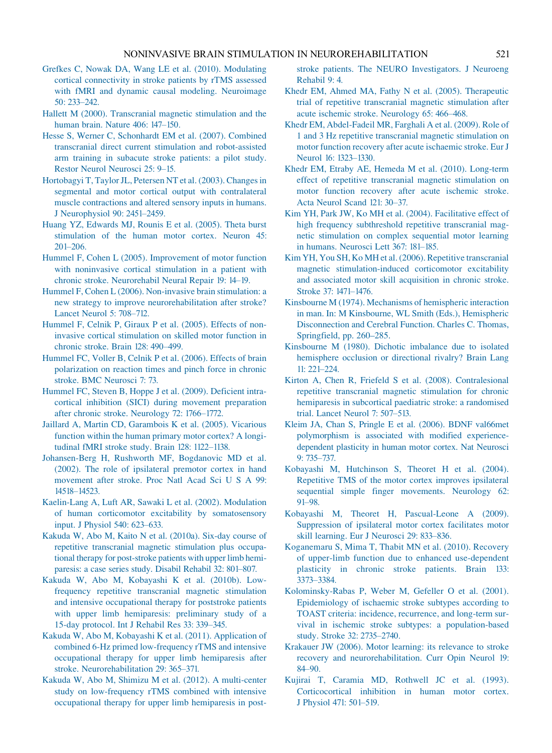### NONINVASIVE BRAIN STIMULATION IN NEUROREHABILITATION 521

- <span id="page-22-0"></span>[Grefkes C, Nowak DA, Wang LE et al. \(2010\). Modulating](http://refhub.elsevier.com/B978-0-444-53497-2.00040-1/rf0330) [cortical connectivity in stroke patients by rTMS assessed](http://refhub.elsevier.com/B978-0-444-53497-2.00040-1/rf0330) [with fMRI and dynamic causal modeling. Neuroimage](http://refhub.elsevier.com/B978-0-444-53497-2.00040-1/rf0330) [50: 233–242.](http://refhub.elsevier.com/B978-0-444-53497-2.00040-1/rf0330)
- [Hallett M \(2000\). Transcranial magnetic stimulation and the](http://refhub.elsevier.com/B978-0-444-53497-2.00040-1/rf0335) [human brain. Nature](http://refhub.elsevier.com/B978-0-444-53497-2.00040-1/rf0335) 406: 147–150.
- [Hesse S, Werner C, Schonhardt EM et al. \(2007\). Combined](http://refhub.elsevier.com/B978-0-444-53497-2.00040-1/rf0340) [transcranial direct current stimulation and robot-assisted](http://refhub.elsevier.com/B978-0-444-53497-2.00040-1/rf0340) [arm training in subacute stroke patients: a pilot study.](http://refhub.elsevier.com/B978-0-444-53497-2.00040-1/rf0340) [Restor Neurol Neurosci](http://refhub.elsevier.com/B978-0-444-53497-2.00040-1/rf0340) 25: 9–15.
- [Hortobagyi T, Taylor JL, Petersen NT et al. \(2003\). Changes in](http://refhub.elsevier.com/B978-0-444-53497-2.00040-1/rf0345) [segmental and motor cortical output with contralateral](http://refhub.elsevier.com/B978-0-444-53497-2.00040-1/rf0345) [muscle contractions and altered sensory inputs in humans.](http://refhub.elsevier.com/B978-0-444-53497-2.00040-1/rf0345) [J Neurophysiol](http://refhub.elsevier.com/B978-0-444-53497-2.00040-1/rf0345) 90: 2451–2459.
- [Huang YZ, Edwards MJ, Rounis E et al. \(2005\). Theta burst](http://refhub.elsevier.com/B978-0-444-53497-2.00040-1/rf0350) [stimulation of the human motor cortex. Neuron](http://refhub.elsevier.com/B978-0-444-53497-2.00040-1/rf0350) 45: [201–206.](http://refhub.elsevier.com/B978-0-444-53497-2.00040-1/rf0350)
- [Hummel F, Cohen L \(2005\). Improvement of motor function](http://refhub.elsevier.com/B978-0-444-53497-2.00040-1/rf0355) [with noninvasive cortical stimulation in a patient with](http://refhub.elsevier.com/B978-0-444-53497-2.00040-1/rf0355) [chronic stroke. Neurorehabil Neural Repair](http://refhub.elsevier.com/B978-0-444-53497-2.00040-1/rf0355) 19: 14–19.
- [Hummel F, Cohen L \(2006\). Non-invasive brain stimulation: a](http://refhub.elsevier.com/B978-0-444-53497-2.00040-1/rf0360) [new strategy to improve neurorehabilitation after stroke?](http://refhub.elsevier.com/B978-0-444-53497-2.00040-1/rf0360) [Lancet Neurol](http://refhub.elsevier.com/B978-0-444-53497-2.00040-1/rf0360) 5: 708–712.
- [Hummel F, Celnik P, Giraux P et al. \(2005\). Effects of non](http://refhub.elsevier.com/B978-0-444-53497-2.00040-1/rf0365)[invasive cortical stimulation on skilled motor function in](http://refhub.elsevier.com/B978-0-444-53497-2.00040-1/rf0365) [chronic stroke. Brain](http://refhub.elsevier.com/B978-0-444-53497-2.00040-1/rf0365) 128: 490–499.
- [Hummel FC, Voller B, Celnik P et al. \(2006\). Effects of brain](http://refhub.elsevier.com/B978-0-444-53497-2.00040-1/rf0370) [polarization on reaction times and pinch force in chronic](http://refhub.elsevier.com/B978-0-444-53497-2.00040-1/rf0370) [stroke. BMC Neurosci](http://refhub.elsevier.com/B978-0-444-53497-2.00040-1/rf0370) 7: 73.
- [Hummel FC, Steven B, Hoppe J et al. \(2009\). Deficient intra](http://refhub.elsevier.com/B978-0-444-53497-2.00040-1/rf0375)[cortical inhibition \(SICI\) during movement preparation](http://refhub.elsevier.com/B978-0-444-53497-2.00040-1/rf0375) [after chronic stroke. Neurology](http://refhub.elsevier.com/B978-0-444-53497-2.00040-1/rf0375) 72: 1766–1772.
- [Jaillard A, Martin CD, Garambois K et al. \(2005\). Vicarious](http://refhub.elsevier.com/B978-0-444-53497-2.00040-1/rf0380) [function within the human primary motor cortex? A longi](http://refhub.elsevier.com/B978-0-444-53497-2.00040-1/rf0380)[tudinal fMRI stroke study. Brain](http://refhub.elsevier.com/B978-0-444-53497-2.00040-1/rf0380) 128: 1122–1138.
- [Johansen-Berg H, Rushworth MF, Bogdanovic MD et al.](http://refhub.elsevier.com/B978-0-444-53497-2.00040-1/rf0385) [\(2002\). The role of ipsilateral premotor cortex in hand](http://refhub.elsevier.com/B978-0-444-53497-2.00040-1/rf0385) [movement after stroke. Proc Natl Acad Sci U S A](http://refhub.elsevier.com/B978-0-444-53497-2.00040-1/rf0385) 99: [14518–14523.](http://refhub.elsevier.com/B978-0-444-53497-2.00040-1/rf0385)
- [Kaelin-Lang A, Luft AR, Sawaki L et al. \(2002\). Modulation](http://refhub.elsevier.com/B978-0-444-53497-2.00040-1/rf0390) [of human corticomotor excitability by somatosensory](http://refhub.elsevier.com/B978-0-444-53497-2.00040-1/rf0390) [input. J Physiol](http://refhub.elsevier.com/B978-0-444-53497-2.00040-1/rf0390) 540: 623–633.
- [Kakuda W, Abo M, Kaito N et al. \(2010a\). Six-day course of](http://refhub.elsevier.com/B978-0-444-53497-2.00040-1/rf0395) [repetitive transcranial magnetic stimulation plus occupa](http://refhub.elsevier.com/B978-0-444-53497-2.00040-1/rf0395)[tional therapy for post-stroke patients with upper limb hemi](http://refhub.elsevier.com/B978-0-444-53497-2.00040-1/rf0395)[paresis: a case series study. Disabil Rehabil](http://refhub.elsevier.com/B978-0-444-53497-2.00040-1/rf0395) 32: 801–807.
- [Kakuda W, Abo M, Kobayashi K et al. \(2010b\). Low](http://refhub.elsevier.com/B978-0-444-53497-2.00040-1/rf0400)[frequency repetitive transcranial magnetic stimulation](http://refhub.elsevier.com/B978-0-444-53497-2.00040-1/rf0400) [and intensive occupational therapy for poststroke patients](http://refhub.elsevier.com/B978-0-444-53497-2.00040-1/rf0400) [with upper limb hemiparesis: preliminary study of a](http://refhub.elsevier.com/B978-0-444-53497-2.00040-1/rf0400) [15-day protocol. Int J Rehabil Res](http://refhub.elsevier.com/B978-0-444-53497-2.00040-1/rf0400) 33: 339–345.
- [Kakuda W, Abo M, Kobayashi K et al. \(2011\). Application of](http://refhub.elsevier.com/B978-0-444-53497-2.00040-1/rf0405) [combined 6-Hz primed low-frequency rTMS and intensive](http://refhub.elsevier.com/B978-0-444-53497-2.00040-1/rf0405) [occupational therapy for upper limb hemiparesis after](http://refhub.elsevier.com/B978-0-444-53497-2.00040-1/rf0405) [stroke. Neurorehabilitation](http://refhub.elsevier.com/B978-0-444-53497-2.00040-1/rf0405) 29: 365–371.
- [Kakuda W, Abo M, Shimizu M et al. \(2012\). A multi-center](http://refhub.elsevier.com/B978-0-444-53497-2.00040-1/rf0410) [study on low-frequency rTMS combined with intensive](http://refhub.elsevier.com/B978-0-444-53497-2.00040-1/rf0410) [occupational therapy for upper limb hemiparesis in post-](http://refhub.elsevier.com/B978-0-444-53497-2.00040-1/rf0410)

[stroke patients. The NEURO Investigators. J Neuroeng](http://refhub.elsevier.com/B978-0-444-53497-2.00040-1/rf0410) [Rehabil](http://refhub.elsevier.com/B978-0-444-53497-2.00040-1/rf0410) 9: 4.

- [Khedr EM, Ahmed MA, Fathy N et al. \(2005\). Therapeutic](http://refhub.elsevier.com/B978-0-444-53497-2.00040-1/rf0415) [trial of repetitive transcranial magnetic stimulation after](http://refhub.elsevier.com/B978-0-444-53497-2.00040-1/rf0415) [acute ischemic stroke. Neurology](http://refhub.elsevier.com/B978-0-444-53497-2.00040-1/rf0415) 65: 466–468.
- [Khedr EM, Abdel-Fadeil MR, Farghali A et al. \(2009\). Role of](http://refhub.elsevier.com/B978-0-444-53497-2.00040-1/rf0420) [1 and 3 Hz repetitive transcranial magnetic stimulation on](http://refhub.elsevier.com/B978-0-444-53497-2.00040-1/rf0420) [motor function recovery after acute ischaemic stroke. Eur J](http://refhub.elsevier.com/B978-0-444-53497-2.00040-1/rf0420) Neurol [16: 1323–1330.](http://refhub.elsevier.com/B978-0-444-53497-2.00040-1/rf0420)
- [Khedr EM, Etraby AE, Hemeda M et al. \(2010\). Long-term](http://refhub.elsevier.com/B978-0-444-53497-2.00040-1/rf0425) [effect of repetitive transcranial magnetic stimulation on](http://refhub.elsevier.com/B978-0-444-53497-2.00040-1/rf0425) [motor function recovery after acute ischemic stroke.](http://refhub.elsevier.com/B978-0-444-53497-2.00040-1/rf0425) [Acta Neurol Scand](http://refhub.elsevier.com/B978-0-444-53497-2.00040-1/rf0425) 121: 30–37.
- [Kim YH, Park JW, Ko MH et al. \(2004\). Facilitative effect of](http://refhub.elsevier.com/B978-0-444-53497-2.00040-1/rf0430) [high frequency subthreshold repetitive transcranial mag](http://refhub.elsevier.com/B978-0-444-53497-2.00040-1/rf0430)[netic stimulation on complex sequential motor learning](http://refhub.elsevier.com/B978-0-444-53497-2.00040-1/rf0430) [in humans. Neurosci Lett](http://refhub.elsevier.com/B978-0-444-53497-2.00040-1/rf0430) 367: 181–185.
- [Kim YH, You SH, Ko MH et al. \(2006\). Repetitive transcranial](http://refhub.elsevier.com/B978-0-444-53497-2.00040-1/rf0435) [magnetic stimulation-induced corticomotor excitability](http://refhub.elsevier.com/B978-0-444-53497-2.00040-1/rf0435) [and associated motor skill acquisition in chronic stroke.](http://refhub.elsevier.com/B978-0-444-53497-2.00040-1/rf0435) Stroke [37: 1471–1476.](http://refhub.elsevier.com/B978-0-444-53497-2.00040-1/rf0435)
- [Kinsbourne M \(1974\). Mechanisms of hemispheric interaction](http://refhub.elsevier.com/B978-0-444-53497-2.00040-1/rf0440) [in man. In: M Kinsbourne, WL Smith \(Eds.\), Hemispheric](http://refhub.elsevier.com/B978-0-444-53497-2.00040-1/rf0440) [Disconnection and Cerebral Function. Charles C. Thomas,](http://refhub.elsevier.com/B978-0-444-53497-2.00040-1/rf0440) [Springfield, pp. 260–285.](http://refhub.elsevier.com/B978-0-444-53497-2.00040-1/rf0440)
- [Kinsbourne M \(1980\). Dichotic imbalance due to isolated](http://refhub.elsevier.com/B978-0-444-53497-2.00040-1/rf0445) [hemisphere occlusion or directional rivalry? Brain Lang](http://refhub.elsevier.com/B978-0-444-53497-2.00040-1/rf0445) [11: 221–224.](http://refhub.elsevier.com/B978-0-444-53497-2.00040-1/rf0445)
- [Kirton A, Chen R, Friefeld S et al. \(2008\). Contralesional](http://refhub.elsevier.com/B978-0-444-53497-2.00040-1/rf0450) [repetitive transcranial magnetic stimulation for chronic](http://refhub.elsevier.com/B978-0-444-53497-2.00040-1/rf0450) [hemiparesis in subcortical paediatric stroke: a randomised](http://refhub.elsevier.com/B978-0-444-53497-2.00040-1/rf0450) [trial. Lancet Neurol](http://refhub.elsevier.com/B978-0-444-53497-2.00040-1/rf0450) 7: 507–513.
- [Kleim JA, Chan S, Pringle E et al. \(2006\). BDNF val66met](http://refhub.elsevier.com/B978-0-444-53497-2.00040-1/rf0455) [polymorphism is associated with modified experience](http://refhub.elsevier.com/B978-0-444-53497-2.00040-1/rf0455)[dependent plasticity in human motor cortex. Nat Neurosci](http://refhub.elsevier.com/B978-0-444-53497-2.00040-1/rf0455) [9: 735–737.](http://refhub.elsevier.com/B978-0-444-53497-2.00040-1/rf0455)
- Kobayashi M, [Hutchinson S, Theoret H et al. \(2004\).](http://refhub.elsevier.com/B978-0-444-53497-2.00040-1/rf0460) [Repetitive TMS of the motor cortex improves ipsilateral](http://refhub.elsevier.com/B978-0-444-53497-2.00040-1/rf0460) [sequential simple finger movements. Neurology](http://refhub.elsevier.com/B978-0-444-53497-2.00040-1/rf0460) 62: [91–98.](http://refhub.elsevier.com/B978-0-444-53497-2.00040-1/rf0460)
- [Kobayashi M, Theoret H, Pascual-Leone A \(2009\).](http://refhub.elsevier.com/B978-0-444-53497-2.00040-1/rf0465) [Suppression of ipsilateral motor cortex facilitates motor](http://refhub.elsevier.com/B978-0-444-53497-2.00040-1/rf0465) [skill learning. Eur J Neurosci](http://refhub.elsevier.com/B978-0-444-53497-2.00040-1/rf0465) 29: 833–836.
- [Koganemaru S, Mima T, Thabit MN et al. \(2010\). Recovery](http://refhub.elsevier.com/B978-0-444-53497-2.00040-1/rf0470) [of upper-limb function due to enhanced use-dependent](http://refhub.elsevier.com/B978-0-444-53497-2.00040-1/rf0470) [plasticity in chronic stroke patients. Brain](http://refhub.elsevier.com/B978-0-444-53497-2.00040-1/rf0470) 133: [3373–3384.](http://refhub.elsevier.com/B978-0-444-53497-2.00040-1/rf0470)
- [Kolominsky-Rabas P, Weber M, Gefeller O et al. \(2001\).](http://refhub.elsevier.com/B978-0-444-53497-2.00040-1/rf0475) [Epidemiology of ischaemic stroke subtypes according to](http://refhub.elsevier.com/B978-0-444-53497-2.00040-1/rf0475) [TOAST criteria: incidence, recurrence, and long-term sur](http://refhub.elsevier.com/B978-0-444-53497-2.00040-1/rf0475)[vival in ischemic stroke subtypes: a population-based](http://refhub.elsevier.com/B978-0-444-53497-2.00040-1/rf0475) study. Stroke [32: 2735–2740.](http://refhub.elsevier.com/B978-0-444-53497-2.00040-1/rf0475)
- [Krakauer JW \(2006\). Motor learning: its relevance to stroke](http://refhub.elsevier.com/B978-0-444-53497-2.00040-1/rf0480) [recovery and neurorehabilitation. Curr Opin Neurol](http://refhub.elsevier.com/B978-0-444-53497-2.00040-1/rf0480) 19: [84–90.](http://refhub.elsevier.com/B978-0-444-53497-2.00040-1/rf0480)
- [Kujirai T, Caramia MD, Rothwell JC et al. \(1993\).](http://refhub.elsevier.com/B978-0-444-53497-2.00040-1/rf0485) [Corticocortical inhibition in human motor cortex.](http://refhub.elsevier.com/B978-0-444-53497-2.00040-1/rf0485) J Physiol [471: 501–519.](http://refhub.elsevier.com/B978-0-444-53497-2.00040-1/rf0485)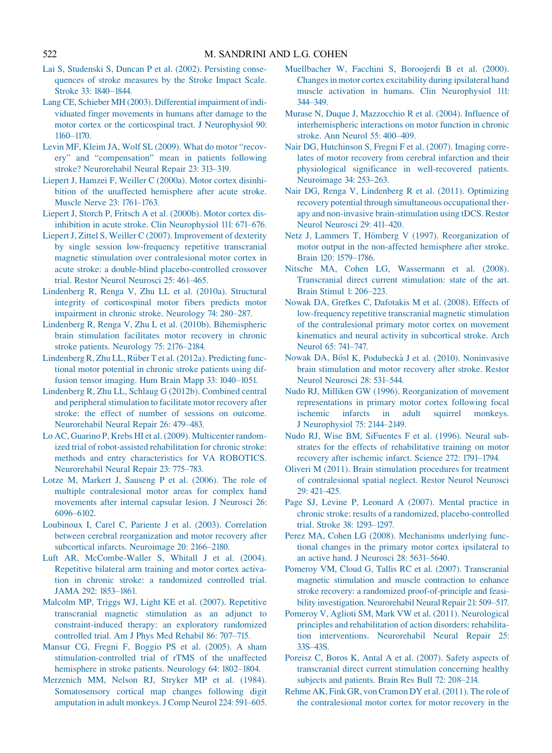- [Lai S, Studenski S, Duncan P et al. \(2002\). Persisting conse](http://refhub.elsevier.com/B978-0-444-53497-2.00040-1/rf0490)[quences of stroke measures by the Stroke Impact Scale.](http://refhub.elsevier.com/B978-0-444-53497-2.00040-1/rf0490) Stroke [33: 1840–1844.](http://refhub.elsevier.com/B978-0-444-53497-2.00040-1/rf0490)
- [Lang CE, Schieber MH \(2003\). Differential impairment of indi](http://refhub.elsevier.com/B978-0-444-53497-2.00040-1/rf0495)[viduated finger movements in humans after damage to the](http://refhub.elsevier.com/B978-0-444-53497-2.00040-1/rf0495) [motor cortex or the corticospinal tract. J Neurophysiol](http://refhub.elsevier.com/B978-0-444-53497-2.00040-1/rf0495) 90: [1160–1170.](http://refhub.elsevier.com/B978-0-444-53497-2.00040-1/rf0495)
- [Levin MF, Kleim JA, Wolf SL \(2009\). What do motor "recov](http://refhub.elsevier.com/B978-0-444-53497-2.00040-1/rf0500)[ery" and "compensation" mean in patients following](http://refhub.elsevier.com/B978-0-444-53497-2.00040-1/rf0500) [stroke? Neurorehabil Neural Repair](http://refhub.elsevier.com/B978-0-444-53497-2.00040-1/rf0500) 23: 313–319.
- [Liepert J, Hamzei F, Weiller C \(2000a\). Motor cortex disinhi](http://refhub.elsevier.com/B978-0-444-53497-2.00040-1/rf0505)[bition of the unaffected hemisphere after acute stroke.](http://refhub.elsevier.com/B978-0-444-53497-2.00040-1/rf0505) [Muscle Nerve](http://refhub.elsevier.com/B978-0-444-53497-2.00040-1/rf0505) 23: 1761–1763.
- [Liepert J, Storch P, Fritsch A et al. \(2000b\). Motor cortex dis](http://refhub.elsevier.com/B978-0-444-53497-2.00040-1/rf0510)[inhibition in acute stroke. Clin Neurophysiol](http://refhub.elsevier.com/B978-0-444-53497-2.00040-1/rf0510) 111: 671–676.
- [Liepert J, Zittel S, Weiller C \(2007\). Improvement of dexterity](http://refhub.elsevier.com/B978-0-444-53497-2.00040-1/rf0515) [by single session low-frequency repetitive transcranial](http://refhub.elsevier.com/B978-0-444-53497-2.00040-1/rf0515) [magnetic stimulation over contralesional motor cortex in](http://refhub.elsevier.com/B978-0-444-53497-2.00040-1/rf0515) [acute stroke: a double-blind placebo-controlled crossover](http://refhub.elsevier.com/B978-0-444-53497-2.00040-1/rf0515) [trial. Restor Neurol Neurosci](http://refhub.elsevier.com/B978-0-444-53497-2.00040-1/rf0515) 25: 461–465.
- [Lindenberg R, Renga V, Zhu LL et al. \(2010a\). Structural](http://refhub.elsevier.com/B978-0-444-53497-2.00040-1/rf0520) [integrity of corticospinal motor fibers predicts motor](http://refhub.elsevier.com/B978-0-444-53497-2.00040-1/rf0520) [impairment in chronic stroke. Neurology](http://refhub.elsevier.com/B978-0-444-53497-2.00040-1/rf0520) 74: 280–287.
- [Lindenberg R, Renga V, Zhu L et al. \(2010b\). Bihemispheric](http://refhub.elsevier.com/B978-0-444-53497-2.00040-1/rf0525) [brain stimulation facilitates motor recovery in chronic](http://refhub.elsevier.com/B978-0-444-53497-2.00040-1/rf0525) [stroke patients. Neurology](http://refhub.elsevier.com/B978-0-444-53497-2.00040-1/rf0525) 75: 2176–2184.
- [Lindenberg R, Zhu LL, R](http://refhub.elsevier.com/B978-0-444-53497-2.00040-1/rf0530)ü[ber T et al. \(2012a\). Predicting func](http://refhub.elsevier.com/B978-0-444-53497-2.00040-1/rf0530)[tional motor potential in chronic stroke patients using dif](http://refhub.elsevier.com/B978-0-444-53497-2.00040-1/rf0530)[fusion tensor imaging. Hum Brain Mapp](http://refhub.elsevier.com/B978-0-444-53497-2.00040-1/rf0530) 33: 1040–1051.
- [Lindenberg R, Zhu LL, Schlaug G \(2012b\). Combined central](http://refhub.elsevier.com/B978-0-444-53497-2.00040-1/rf0535) [and peripheral stimulation to facilitate motor recovery after](http://refhub.elsevier.com/B978-0-444-53497-2.00040-1/rf0535) [stroke: the effect of number of sessions on outcome.](http://refhub.elsevier.com/B978-0-444-53497-2.00040-1/rf0535) [Neurorehabil Neural Repair](http://refhub.elsevier.com/B978-0-444-53497-2.00040-1/rf0535) 26: 479–483.
- [Lo AC, Guarino P, Krebs HI et al. \(2009\). Multicenter random](http://refhub.elsevier.com/B978-0-444-53497-2.00040-1/rf0540)[ized trial of robot-assisted rehabilitation for chronic stroke:](http://refhub.elsevier.com/B978-0-444-53497-2.00040-1/rf0540) [methods and entry characteristics for VA ROBOTICS.](http://refhub.elsevier.com/B978-0-444-53497-2.00040-1/rf0540) [Neurorehabil Neural Repair](http://refhub.elsevier.com/B978-0-444-53497-2.00040-1/rf0540) 23: 775–783.
- [Lotze M, Markert J, Sauseng P et al. \(2006\). The role of](http://refhub.elsevier.com/B978-0-444-53497-2.00040-1/rf0545) [multiple contralesional motor areas for complex hand](http://refhub.elsevier.com/B978-0-444-53497-2.00040-1/rf0545) [movements after internal capsular lesion. J Neurosci](http://refhub.elsevier.com/B978-0-444-53497-2.00040-1/rf0545) 26: [6096–6102.](http://refhub.elsevier.com/B978-0-444-53497-2.00040-1/rf0545)
- [Loubinoux I, Carel C, Pariente J et al. \(2003\). Correlation](http://refhub.elsevier.com/B978-0-444-53497-2.00040-1/rf0550) [between cerebral reorganization and motor recovery after](http://refhub.elsevier.com/B978-0-444-53497-2.00040-1/rf0550) [subcortical infarcts. Neuroimage](http://refhub.elsevier.com/B978-0-444-53497-2.00040-1/rf0550) 20: 2166–2180.
- [Luft AR, McCombe-Waller S, Whitall J et al. \(2004\).](http://refhub.elsevier.com/B978-0-444-53497-2.00040-1/rf0555) [Repetitive bilateral arm training and motor cortex activa](http://refhub.elsevier.com/B978-0-444-53497-2.00040-1/rf0555)[tion in chronic stroke: a randomized controlled trial.](http://refhub.elsevier.com/B978-0-444-53497-2.00040-1/rf0555) JAMA [292: 1853–1861.](http://refhub.elsevier.com/B978-0-444-53497-2.00040-1/rf0555)
- [Malcolm MP, Triggs WJ, Light KE et al. \(2007\). Repetitive](http://refhub.elsevier.com/B978-0-444-53497-2.00040-1/rf0560) [transcranial magnetic stimulation as an adjunct to](http://refhub.elsevier.com/B978-0-444-53497-2.00040-1/rf0560) [constraint-induced therapy: an exploratory randomized](http://refhub.elsevier.com/B978-0-444-53497-2.00040-1/rf0560) [controlled trial. Am J Phys Med Rehabil](http://refhub.elsevier.com/B978-0-444-53497-2.00040-1/rf0560) 86: 707–715.
- [Mansur CG, Fregni F, Boggio PS et al. \(2005\). A sham](http://refhub.elsevier.com/B978-0-444-53497-2.00040-1/rf0565) [stimulation-controlled trial of rTMS of the unaffected](http://refhub.elsevier.com/B978-0-444-53497-2.00040-1/rf0565) [hemisphere in stroke patients. Neurology](http://refhub.elsevier.com/B978-0-444-53497-2.00040-1/rf0565) 64: 1802–1804.
- [Merzenich MM, Nelson RJ, Stryker MP et al. \(1984\).](http://refhub.elsevier.com/B978-0-444-53497-2.00040-1/rf0570) [Somatosensory cortical map changes following digit](http://refhub.elsevier.com/B978-0-444-53497-2.00040-1/rf0570) [amputation in adult monkeys. J Comp Neurol](http://refhub.elsevier.com/B978-0-444-53497-2.00040-1/rf0570) 224: 591–605.
- [Muellbacher W, Facchini S, Boroojerdi B et al. \(2000\).](http://refhub.elsevier.com/B978-0-444-53497-2.00040-1/rf0575) [Changes in motor cortex excitability during ipsilateral hand](http://refhub.elsevier.com/B978-0-444-53497-2.00040-1/rf0575) [muscle activation in humans. Clin Neurophysiol](http://refhub.elsevier.com/B978-0-444-53497-2.00040-1/rf0575) 111: [344–349.](http://refhub.elsevier.com/B978-0-444-53497-2.00040-1/rf0575)
- [Murase N, Duque J, Mazzocchio R et al. \(2004\). Influence of](http://refhub.elsevier.com/B978-0-444-53497-2.00040-1/rf0580) [interhemispheric interactions on motor function in chronic](http://refhub.elsevier.com/B978-0-444-53497-2.00040-1/rf0580) [stroke. Ann Neurol](http://refhub.elsevier.com/B978-0-444-53497-2.00040-1/rf0580) 55: 400–409.
- [Nair DG, Hutchinson S, Fregni F et al. \(2007\). Imaging corre](http://refhub.elsevier.com/B978-0-444-53497-2.00040-1/rf0585)[lates of motor recovery from cerebral infarction and their](http://refhub.elsevier.com/B978-0-444-53497-2.00040-1/rf0585) [physiological significance in well-recovered patients.](http://refhub.elsevier.com/B978-0-444-53497-2.00040-1/rf0585) [Neuroimage](http://refhub.elsevier.com/B978-0-444-53497-2.00040-1/rf0585) 34: 253–263.
- [Nair DG, Renga V, Lindenberg R et al. \(2011\). Optimizing](http://refhub.elsevier.com/B978-0-444-53497-2.00040-1/rf0590) [recovery potential through simultaneous occupational ther](http://refhub.elsevier.com/B978-0-444-53497-2.00040-1/rf0590)[apy and non-invasive brain-stimulation using tDCS. Restor](http://refhub.elsevier.com/B978-0-444-53497-2.00040-1/rf0590) [Neurol Neurosci](http://refhub.elsevier.com/B978-0-444-53497-2.00040-1/rf0590) 29: 411–420.
- [Netz J, Lammers T, H](http://refhub.elsevier.com/B978-0-444-53497-2.00040-1/rf0595)ö[mberg V \(1997\). Reorganization of](http://refhub.elsevier.com/B978-0-444-53497-2.00040-1/rf0595) [motor output in the non-affected hemisphere after stroke.](http://refhub.elsevier.com/B978-0-444-53497-2.00040-1/rf0595) Brain [120: 1579–1786.](http://refhub.elsevier.com/B978-0-444-53497-2.00040-1/rf0595)
- [Nitsche MA, Cohen LG, Wassermann et al. \(2008\).](http://refhub.elsevier.com/B978-0-444-53497-2.00040-1/rf0600) [Transcranial direct current stimulation: state of the art.](http://refhub.elsevier.com/B978-0-444-53497-2.00040-1/rf0600) [Brain Stimul](http://refhub.elsevier.com/B978-0-444-53497-2.00040-1/rf0600) 1: 206–223.
- [Nowak DA, Grefkes C, Dafotakis M et al. \(2008\). Effects of](http://refhub.elsevier.com/B978-0-444-53497-2.00040-1/rf0605) [low-frequency repetitive transcranial magnetic stimulation](http://refhub.elsevier.com/B978-0-444-53497-2.00040-1/rf0605) [of the contralesional primary motor cortex on movement](http://refhub.elsevier.com/B978-0-444-53497-2.00040-1/rf0605) [kinematics and neural activity in subcortical stroke. Arch](http://refhub.elsevier.com/B978-0-444-53497-2.00040-1/rf0605) Neurol [65: 741–747.](http://refhub.elsevier.com/B978-0-444-53497-2.00040-1/rf0605)
- [Nowak DA, B](http://refhub.elsevier.com/B978-0-444-53497-2.00040-1/rf0610)ösl K, Podubeckà [J et al. \(2010\). Noninvasive](http://refhub.elsevier.com/B978-0-444-53497-2.00040-1/rf0610) [brain stimulation and motor recovery after stroke. Restor](http://refhub.elsevier.com/B978-0-444-53497-2.00040-1/rf0610) [Neurol Neurosci](http://refhub.elsevier.com/B978-0-444-53497-2.00040-1/rf0610) 28: 531–544.
- [Nudo RJ, Milliken GW \(1996\). Reorganization of movement](http://refhub.elsevier.com/B978-0-444-53497-2.00040-1/rf0615) [representations in primary motor cortex following focal](http://refhub.elsevier.com/B978-0-444-53497-2.00040-1/rf0615) [ischemic infarcts in adult squirrel monkeys.](http://refhub.elsevier.com/B978-0-444-53497-2.00040-1/rf0615) [J Neurophysiol](http://refhub.elsevier.com/B978-0-444-53497-2.00040-1/rf0615) 75: 2144–2149.
- [Nudo RJ, Wise BM, SiFuentes F et al. \(1996\). Neural sub](http://refhub.elsevier.com/B978-0-444-53497-2.00040-1/rf0620)[strates for the effects of rehabilitative training on motor](http://refhub.elsevier.com/B978-0-444-53497-2.00040-1/rf0620) [recovery after ischemic infarct. Science](http://refhub.elsevier.com/B978-0-444-53497-2.00040-1/rf0620) 272: 1791–1794.
- [Oliveri M \(2011\). Brain stimulation procedures for treatment](http://refhub.elsevier.com/B978-0-444-53497-2.00040-1/rf0625) [of contralesional spatial neglect. Restor Neurol Neurosci](http://refhub.elsevier.com/B978-0-444-53497-2.00040-1/rf0625) [29: 421–425.](http://refhub.elsevier.com/B978-0-444-53497-2.00040-1/rf0625)
- [Page SJ, Levine P, Leonard A \(2007\). Mental practice in](http://refhub.elsevier.com/B978-0-444-53497-2.00040-1/rf0630) [chronic stroke: results of a randomized, placebo-controlled](http://refhub.elsevier.com/B978-0-444-53497-2.00040-1/rf0630) trial. Stroke [38: 1293–1297.](http://refhub.elsevier.com/B978-0-444-53497-2.00040-1/rf0630)
- [Perez MA, Cohen LG \(2008\). Mechanisms underlying func](http://refhub.elsevier.com/B978-0-444-53497-2.00040-1/rf0635)[tional changes in the primary motor cortex ipsilateral to](http://refhub.elsevier.com/B978-0-444-53497-2.00040-1/rf0635) [an active hand. J Neurosci](http://refhub.elsevier.com/B978-0-444-53497-2.00040-1/rf0635) 28: 5631–5640.
- [Pomeroy VM, Cloud G, Tallis RC et al. \(2007\). Transcranial](http://refhub.elsevier.com/B978-0-444-53497-2.00040-1/rf0640) [magnetic stimulation and muscle contraction to enhance](http://refhub.elsevier.com/B978-0-444-53497-2.00040-1/rf0640) [stroke recovery: a randomized proof-of-principle and feasi](http://refhub.elsevier.com/B978-0-444-53497-2.00040-1/rf0640)[bility investigation. Neurorehabil Neural Repair](http://refhub.elsevier.com/B978-0-444-53497-2.00040-1/rf0640) 21: 509–517.
- [Pomeroy V, Aglioti SM, Mark VW et al. \(2011\). Neurological](http://refhub.elsevier.com/B978-0-444-53497-2.00040-1/rf0645) [principles and rehabilitation of action disorders: rehabilita](http://refhub.elsevier.com/B978-0-444-53497-2.00040-1/rf0645)[tion interventions. Neurorehabil Neural Repair](http://refhub.elsevier.com/B978-0-444-53497-2.00040-1/rf0645) 25: [33S–43S.](http://refhub.elsevier.com/B978-0-444-53497-2.00040-1/rf0645)
- [Poreisz C, Boros K, Antal A et al. \(2007\). Safety aspects of](http://refhub.elsevier.com/B978-0-444-53497-2.00040-1/rf0650) [transcranial direct current stimulation concerning healthy](http://refhub.elsevier.com/B978-0-444-53497-2.00040-1/rf0650) [subjects and patients. Brain Res Bull](http://refhub.elsevier.com/B978-0-444-53497-2.00040-1/rf0650) 72: 208–214.
- [Rehme AK, Fink GR, von Cramon DY et al. \(2011\). The role of](http://refhub.elsevier.com/B978-0-444-53497-2.00040-1/rf0655) [the contralesional motor cortex for motor recovery in the](http://refhub.elsevier.com/B978-0-444-53497-2.00040-1/rf0655)

<span id="page-23-0"></span>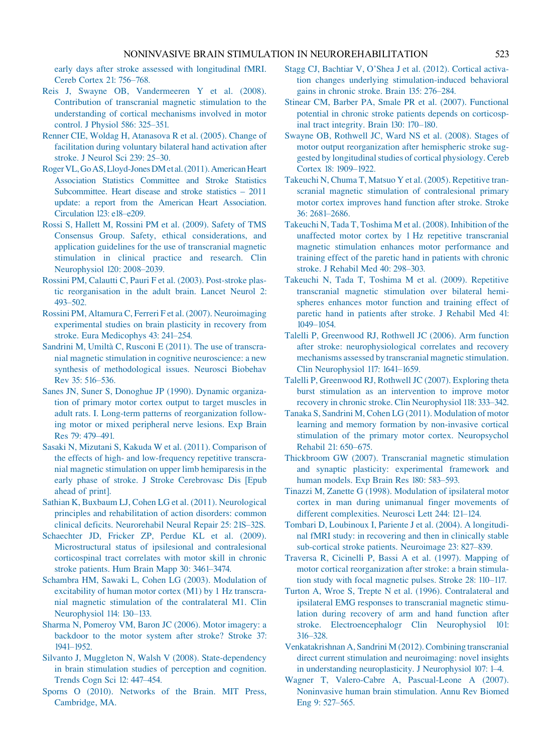<span id="page-24-0"></span>[early days after stroke assessed with longitudinal fMRI.](http://refhub.elsevier.com/B978-0-444-53497-2.00040-1/rf0655) [Cereb Cortex](http://refhub.elsevier.com/B978-0-444-53497-2.00040-1/rf0655) 21: 756–768.

- [Reis J, Swayne OB, Vandermeeren Y et al. \(2008\).](http://refhub.elsevier.com/B978-0-444-53497-2.00040-1/rf0660) [Contribution of transcranial magnetic stimulation to the](http://refhub.elsevier.com/B978-0-444-53497-2.00040-1/rf0660) [understanding of cortical mechanisms involved in motor](http://refhub.elsevier.com/B978-0-444-53497-2.00040-1/rf0660) [control. J Physiol](http://refhub.elsevier.com/B978-0-444-53497-2.00040-1/rf0660) 586: 325–351.
- [Renner CIE, Woldag H, Atanasova R et al. \(2005\). Change of](http://refhub.elsevier.com/B978-0-444-53497-2.00040-1/rf0665) [facilitation during voluntary bilateral hand activation after](http://refhub.elsevier.com/B978-0-444-53497-2.00040-1/rf0665) [stroke. J Neurol Sci](http://refhub.elsevier.com/B978-0-444-53497-2.00040-1/rf0665) 239: 25–30.
- [Roger VL, GoAS,Lloyd-Jones DM etal. \(2011\). American Heart](http://refhub.elsevier.com/B978-0-444-53497-2.00040-1/rf0670) [Association Statistics Committee and Stroke Statistics](http://refhub.elsevier.com/B978-0-444-53497-2.00040-1/rf0670) [Subcommittee. Heart disease and stroke statistics – 2011](http://refhub.elsevier.com/B978-0-444-53497-2.00040-1/rf0670) [update: a report from the American Heart Association.](http://refhub.elsevier.com/B978-0-444-53497-2.00040-1/rf0670) Circulation [123: e18–e209.](http://refhub.elsevier.com/B978-0-444-53497-2.00040-1/rf0670)
- [Rossi S, Hallett M, Rossini PM et al. \(2009\). Safety of TMS](http://refhub.elsevier.com/B978-0-444-53497-2.00040-1/rf0675) [Consensus Group. Safety, ethical considerations, and](http://refhub.elsevier.com/B978-0-444-53497-2.00040-1/rf0675) [application guidelines for the use of transcranial magnetic](http://refhub.elsevier.com/B978-0-444-53497-2.00040-1/rf0675) [stimulation in clinical practice and research. Clin](http://refhub.elsevier.com/B978-0-444-53497-2.00040-1/rf0675) Neurophysiol [120: 2008–2039.](http://refhub.elsevier.com/B978-0-444-53497-2.00040-1/rf0675)
- [Rossini PM, Calautti C, Pauri F et al. \(2003\). Post-stroke plas](http://refhub.elsevier.com/B978-0-444-53497-2.00040-1/rf0680)[tic reorganisation in the adult brain. Lancet Neurol](http://refhub.elsevier.com/B978-0-444-53497-2.00040-1/rf0680) 2: [493–502.](http://refhub.elsevier.com/B978-0-444-53497-2.00040-1/rf0680)
- [Rossini PM, Altamura C, Ferreri F et al. \(2007\). Neuroimaging](http://refhub.elsevier.com/B978-0-444-53497-2.00040-1/rf0685) [experimental studies on brain plasticity in recovery from](http://refhub.elsevier.com/B978-0-444-53497-2.00040-1/rf0685) [stroke. Eura Medicophys](http://refhub.elsevier.com/B978-0-444-53497-2.00040-1/rf0685) 43: 241–254.
- Sandrini M, Umiltà [C, Rusconi E \(2011\). The use of transcra](http://refhub.elsevier.com/B978-0-444-53497-2.00040-1/rf0690)[nial magnetic stimulation in cognitive neuroscience: a new](http://refhub.elsevier.com/B978-0-444-53497-2.00040-1/rf0690) [synthesis of methodological issues. Neurosci Biobehav](http://refhub.elsevier.com/B978-0-444-53497-2.00040-1/rf0690) Rev [35: 516–536.](http://refhub.elsevier.com/B978-0-444-53497-2.00040-1/rf0690)
- [Sanes JN, Suner S, Donoghue JP \(1990\). Dynamic organiza](http://refhub.elsevier.com/B978-0-444-53497-2.00040-1/rf0695)[tion of primary motor cortex output to target muscles in](http://refhub.elsevier.com/B978-0-444-53497-2.00040-1/rf0695) [adult rats. I. Long-term patterns of reorganization follow](http://refhub.elsevier.com/B978-0-444-53497-2.00040-1/rf0695)[ing motor or mixed peripheral nerve lesions. Exp Brain](http://refhub.elsevier.com/B978-0-444-53497-2.00040-1/rf0695) Res [79: 479–491.](http://refhub.elsevier.com/B978-0-444-53497-2.00040-1/rf0695)
- [Sasaki N, Mizutani S, Kakuda W et al. \(2011\). Comparison of](http://refhub.elsevier.com/B978-0-444-53497-2.00040-1/rf0700) [the effects of high- and low-frequency repetitive transcra](http://refhub.elsevier.com/B978-0-444-53497-2.00040-1/rf0700)[nial magnetic stimulation on upper limb hemiparesis in the](http://refhub.elsevier.com/B978-0-444-53497-2.00040-1/rf0700) [early phase of stroke. J Stroke Cerebrovasc Dis](http://refhub.elsevier.com/B978-0-444-53497-2.00040-1/rf0700) [Epub [ahead of print\].](http://refhub.elsevier.com/B978-0-444-53497-2.00040-1/rf0700)
- [Sathian K, Buxbaum LJ, Cohen LG et al. \(2011\). Neurological](http://refhub.elsevier.com/B978-0-444-53497-2.00040-1/rf0705) [principles and rehabilitation of action disorders: common](http://refhub.elsevier.com/B978-0-444-53497-2.00040-1/rf0705) [clinical deficits. Neurorehabil Neural Repair](http://refhub.elsevier.com/B978-0-444-53497-2.00040-1/rf0705) 25: 21S–32S.
- [Schaechter JD, Fricker ZP, Perdue KL et al. \(2009\).](http://refhub.elsevier.com/B978-0-444-53497-2.00040-1/rf0710) [Microstructural status of ipsilesional and contralesional](http://refhub.elsevier.com/B978-0-444-53497-2.00040-1/rf0710) [corticospinal tract correlates with motor skill in chronic](http://refhub.elsevier.com/B978-0-444-53497-2.00040-1/rf0710) [stroke patients. Hum Brain Mapp](http://refhub.elsevier.com/B978-0-444-53497-2.00040-1/rf0710) 30: 3461–3474.
- [Schambra HM, Sawaki L, Cohen LG \(2003\). Modulation of](http://refhub.elsevier.com/B978-0-444-53497-2.00040-1/rf0715) [excitability of human motor cortex \(M1\) by 1 Hz transcra](http://refhub.elsevier.com/B978-0-444-53497-2.00040-1/rf0715)[nial magnetic stimulation of the contralateral M1. Clin](http://refhub.elsevier.com/B978-0-444-53497-2.00040-1/rf0715) [Neurophysiol](http://refhub.elsevier.com/B978-0-444-53497-2.00040-1/rf0715) 114: 130–133.
- [Sharma N, Pomeroy VM, Baron JC \(2006\). Motor imagery: a](http://refhub.elsevier.com/B978-0-444-53497-2.00040-1/rf0720) [backdoor to the motor system after stroke? Stroke](http://refhub.elsevier.com/B978-0-444-53497-2.00040-1/rf0720) 37: [1941–1952.](http://refhub.elsevier.com/B978-0-444-53497-2.00040-1/rf0720)
- [Silvanto J, Muggleton N, Walsh V \(2008\). State-dependency](http://refhub.elsevier.com/B978-0-444-53497-2.00040-1/rf0725) [in brain stimulation studies of perception and cognition.](http://refhub.elsevier.com/B978-0-444-53497-2.00040-1/rf0725) [Trends Cogn Sci](http://refhub.elsevier.com/B978-0-444-53497-2.00040-1/rf0725) 12: 447–454.
- [Sporns O \(2010\). Networks of the Brain. MIT Press,](http://refhub.elsevier.com/B978-0-444-53497-2.00040-1/rf0730) [Cambridge, MA.](http://refhub.elsevier.com/B978-0-444-53497-2.00040-1/rf0730)
- [Stagg CJ, Bachtiar V, O'Shea J et al. \(2012\). Cortical activa](http://refhub.elsevier.com/B978-0-444-53497-2.00040-1/rf0735)[tion changes underlying stimulation-induced behavioral](http://refhub.elsevier.com/B978-0-444-53497-2.00040-1/rf0735) [gains in chronic stroke. Brain](http://refhub.elsevier.com/B978-0-444-53497-2.00040-1/rf0735) 135: 276–284.
- [Stinear CM, Barber PA, Smale PR et al. \(2007\). Functional](http://refhub.elsevier.com/B978-0-444-53497-2.00040-1/rf0740) [potential in chronic stroke patients depends on corticosp](http://refhub.elsevier.com/B978-0-444-53497-2.00040-1/rf0740)[inal tract integrity. Brain](http://refhub.elsevier.com/B978-0-444-53497-2.00040-1/rf0740) 130: 170–180.
- [Swayne OB, Rothwell JC, Ward NS et al. \(2008\). Stages of](http://refhub.elsevier.com/B978-0-444-53497-2.00040-1/rf0745) [motor output reorganization after hemispheric stroke sug](http://refhub.elsevier.com/B978-0-444-53497-2.00040-1/rf0745)[gested by longitudinal studies of cortical physiology. Cereb](http://refhub.elsevier.com/B978-0-444-53497-2.00040-1/rf0745) Cortex [18: 1909–1922.](http://refhub.elsevier.com/B978-0-444-53497-2.00040-1/rf0745)
- [Takeuchi N, Chuma T, Matsuo Y et al. \(2005\). Repetitive tran](http://refhub.elsevier.com/B978-0-444-53497-2.00040-1/rf0750)[scranial magnetic stimulation of contralesional primary](http://refhub.elsevier.com/B978-0-444-53497-2.00040-1/rf0750) [motor cortex improves hand function after stroke. Stroke](http://refhub.elsevier.com/B978-0-444-53497-2.00040-1/rf0750) [36: 2681–2686.](http://refhub.elsevier.com/B978-0-444-53497-2.00040-1/rf0750)
- [Takeuchi N, Tada T, Toshima M et al. \(2008\). Inhibition of the](http://refhub.elsevier.com/B978-0-444-53497-2.00040-1/rf0755) [unaffected motor cortex by 1 Hz repetitive transcranial](http://refhub.elsevier.com/B978-0-444-53497-2.00040-1/rf0755) [magnetic stimulation enhances motor performance and](http://refhub.elsevier.com/B978-0-444-53497-2.00040-1/rf0755) [training effect of the paretic hand in patients with chronic](http://refhub.elsevier.com/B978-0-444-53497-2.00040-1/rf0755) [stroke. J Rehabil Med](http://refhub.elsevier.com/B978-0-444-53497-2.00040-1/rf0755) 40: 298–303.
- [Takeuchi N, Tada T, Toshima M et al. \(2009\). Repetitive](http://refhub.elsevier.com/B978-0-444-53497-2.00040-1/rf0760) [transcranial magnetic stimulation over bilateral hemi](http://refhub.elsevier.com/B978-0-444-53497-2.00040-1/rf0760)[spheres enhances motor function and training effect of](http://refhub.elsevier.com/B978-0-444-53497-2.00040-1/rf0760) [paretic hand in patients after stroke. J Rehabil Med](http://refhub.elsevier.com/B978-0-444-53497-2.00040-1/rf0760) 41: [1049–1054.](http://refhub.elsevier.com/B978-0-444-53497-2.00040-1/rf0760)
- [Talelli P, Greenwood RJ, Rothwell JC \(2006\). Arm function](http://refhub.elsevier.com/B978-0-444-53497-2.00040-1/rf0765) [after stroke: neurophysiological correlates and recovery](http://refhub.elsevier.com/B978-0-444-53497-2.00040-1/rf0765) [mechanisms assessed by transcranial magnetic stimulation.](http://refhub.elsevier.com/B978-0-444-53497-2.00040-1/rf0765) [Clin Neurophysiol](http://refhub.elsevier.com/B978-0-444-53497-2.00040-1/rf0765) 117: 1641–1659.
- [Talelli P, Greenwood RJ, Rothwell JC \(2007\). Exploring theta](http://refhub.elsevier.com/B978-0-444-53497-2.00040-1/rf0770) [burst stimulation as an intervention to improve motor](http://refhub.elsevier.com/B978-0-444-53497-2.00040-1/rf0770) [recovery in chronic stroke. Clin Neurophysiol](http://refhub.elsevier.com/B978-0-444-53497-2.00040-1/rf0770) 118: 333–342.
- [Tanaka S, Sandrini M, Cohen LG \(2011\). Modulation of motor](http://refhub.elsevier.com/B978-0-444-53497-2.00040-1/rf0775) [learning and memory formation by non-invasive cortical](http://refhub.elsevier.com/B978-0-444-53497-2.00040-1/rf0775) [stimulation of the primary motor cortex. Neuropsychol](http://refhub.elsevier.com/B978-0-444-53497-2.00040-1/rf0775) Rehabil 21: [650–675.](http://refhub.elsevier.com/B978-0-444-53497-2.00040-1/rf0775)
- Thickbroom [GW \(2007\). Transcranial magnetic stimulation](http://refhub.elsevier.com/B978-0-444-53497-2.00040-1/rf0780) [and synaptic plasticity: experimental framework and](http://refhub.elsevier.com/B978-0-444-53497-2.00040-1/rf0780) [human models. Exp Brain Res](http://refhub.elsevier.com/B978-0-444-53497-2.00040-1/rf0780) 180: 583–593.
- [Tinazzi M, Zanette G \(1998\). Modulation of ipsilateral motor](http://refhub.elsevier.com/B978-0-444-53497-2.00040-1/rf0785) [cortex in man during unimanual finger movements of](http://refhub.elsevier.com/B978-0-444-53497-2.00040-1/rf0785) [different complexities. Neurosci Lett](http://refhub.elsevier.com/B978-0-444-53497-2.00040-1/rf0785) 244: 121–124.
- [Tombari D, Loubinoux I, Pariente J et al. \(2004\). A longitudi](http://refhub.elsevier.com/B978-0-444-53497-2.00040-1/rf0790)[nal fMRI study: in recovering and then in clinically stable](http://refhub.elsevier.com/B978-0-444-53497-2.00040-1/rf0790) [sub-cortical stroke patients. Neuroimage](http://refhub.elsevier.com/B978-0-444-53497-2.00040-1/rf0790) 23: 827–839.
- [Traversa R, Cicinelli P, Bassi A et al. \(1997\). Mapping of](http://refhub.elsevier.com/B978-0-444-53497-2.00040-1/rf0795) [motor cortical reorganization after stroke: a brain stimula](http://refhub.elsevier.com/B978-0-444-53497-2.00040-1/rf0795)[tion study with focal magnetic pulses. Stroke](http://refhub.elsevier.com/B978-0-444-53497-2.00040-1/rf0795) 28: 110–117.
- [Turton A, Wroe S, Trepte N et al. \(1996\). Contralateral and](http://refhub.elsevier.com/B978-0-444-53497-2.00040-1/rf0800) [ipsilateral EMG responses to transcranial magnetic stimu](http://refhub.elsevier.com/B978-0-444-53497-2.00040-1/rf0800)[lation during recovery of arm and hand function after](http://refhub.elsevier.com/B978-0-444-53497-2.00040-1/rf0800) [stroke. Electroencephalogr Clin Neurophysiol](http://refhub.elsevier.com/B978-0-444-53497-2.00040-1/rf0800) 101: [316–328.](http://refhub.elsevier.com/B978-0-444-53497-2.00040-1/rf0800)
- [Venkatakrishnan A, Sandrini M \(2012\). Combining transcranial](http://refhub.elsevier.com/B978-0-444-53497-2.00040-1/rf0805) [direct current stimulation and neuroimaging: novel insights](http://refhub.elsevier.com/B978-0-444-53497-2.00040-1/rf0805) [in understanding neuroplasticity. J Neurophysiol](http://refhub.elsevier.com/B978-0-444-53497-2.00040-1/rf0805) 107: 1–4.
- [Wagner T, Valero-Cabre A, Pascual-Leone A \(2007\).](http://refhub.elsevier.com/B978-0-444-53497-2.00040-1/rf0810) [Noninvasive human brain stimulation. Annu Rev Biomed](http://refhub.elsevier.com/B978-0-444-53497-2.00040-1/rf0810) Eng [9: 527–565.](http://refhub.elsevier.com/B978-0-444-53497-2.00040-1/rf0810)